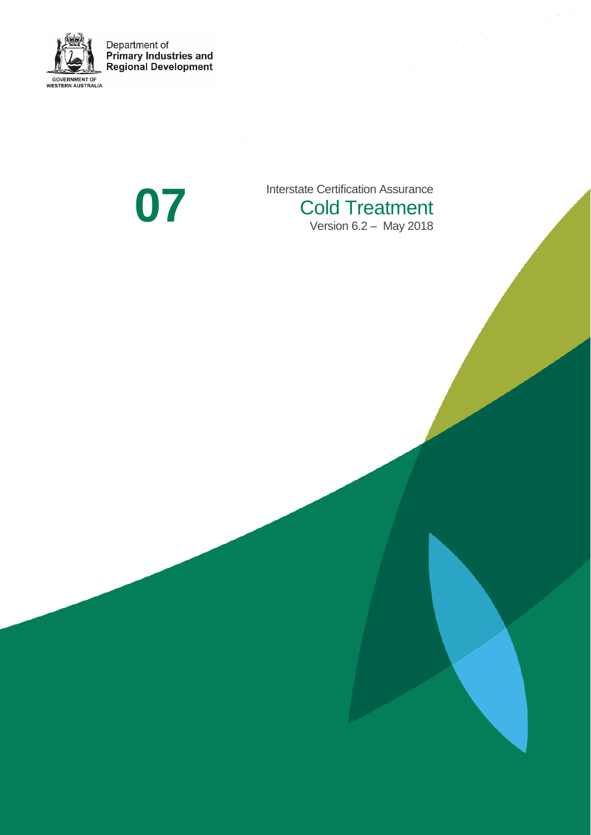

Interstate Certification Assurance<br>Cold Treatment<br>Version 6.2 – May 2018 Cold Treatment Version 6.2 – May 2018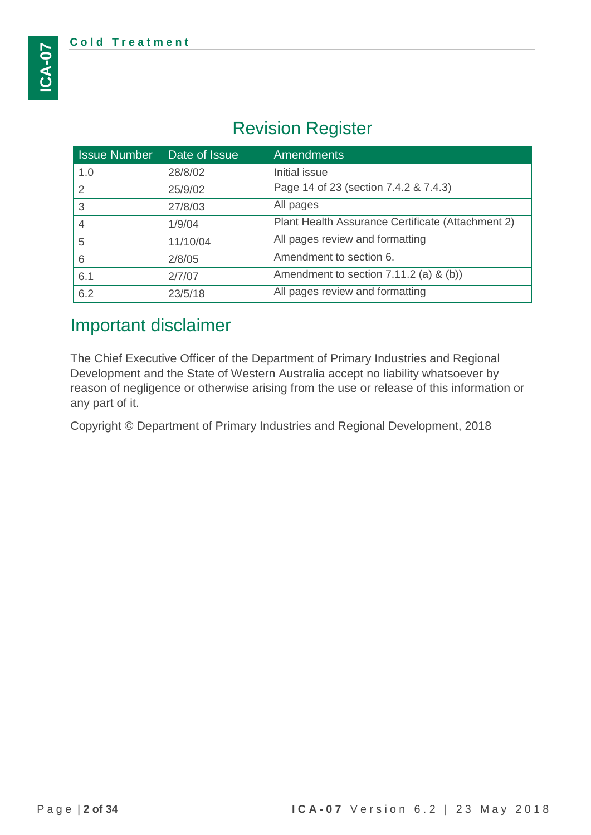# Revision Register

| <b>Issue Number</b> | Date of Issue | <b>Amendments</b>                                 |
|---------------------|---------------|---------------------------------------------------|
| 1.0                 | 28/8/02       | Initial issue                                     |
| 2                   | 25/9/02       | Page 14 of 23 (section 7.4.2 & 7.4.3)             |
| 3                   | 27/8/03       | All pages                                         |
| $\overline{4}$      | 1/9/04        | Plant Health Assurance Certificate (Attachment 2) |
| 5                   | 11/10/04      | All pages review and formatting                   |
| 6                   | 2/8/05        | Amendment to section 6.                           |
| 6.1                 | 2/7/07        | Amendment to section 7.11.2 (a) & (b))            |
| 6.2                 | 23/5/18       | All pages review and formatting                   |

## Important disclaimer

The Chief Executive Officer of the Department of Primary Industries and Regional Development and the State of Western Australia accept no liability whatsoever by reason of negligence or otherwise arising from the use or release of this information or any part of it.

Copyright © Department of Primary Industries and Regional Development, 2018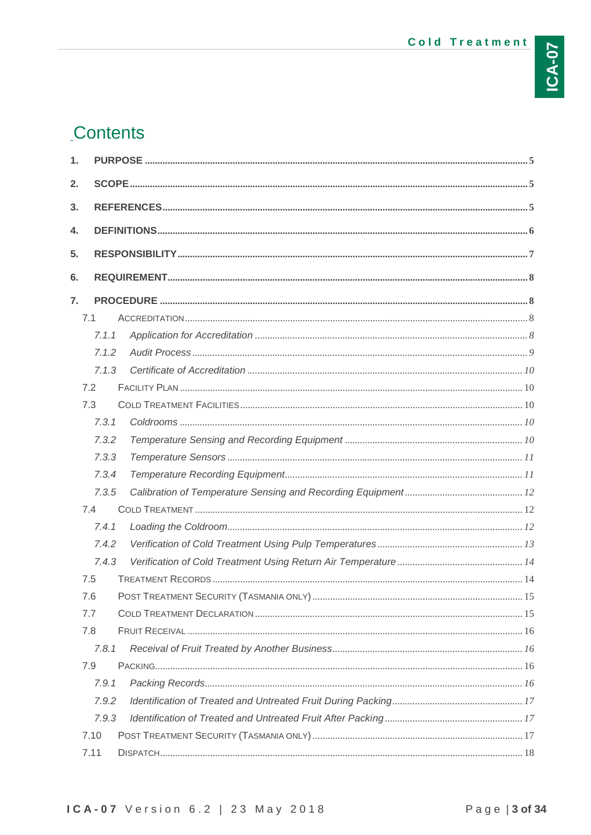# Contents

| 1. |       |  |
|----|-------|--|
| 2. |       |  |
| 3. |       |  |
| 4. |       |  |
| 5. |       |  |
|    |       |  |
| 6. |       |  |
| 7. |       |  |
|    | 7.1   |  |
|    | 7.1.1 |  |
|    | 7.1.2 |  |
|    | 7.1.3 |  |
|    | 7.2   |  |
|    | 7.3   |  |
|    | 7.3.1 |  |
|    | 7.3.2 |  |
|    | 7.3.3 |  |
|    | 7.3.4 |  |
|    | 7.3.5 |  |
|    | 7.4   |  |
|    | 7.4.1 |  |
|    | 7.4.2 |  |
|    | 7.4.3 |  |
|    | 7.5   |  |
|    | 7.6   |  |
|    | 7.7   |  |
|    | 7.8   |  |
|    | 7.8.1 |  |
|    | 7.9   |  |
|    | 7.9.1 |  |
|    | 7.9.2 |  |
|    | 7.9.3 |  |
|    | 7.10  |  |
|    | 7.11  |  |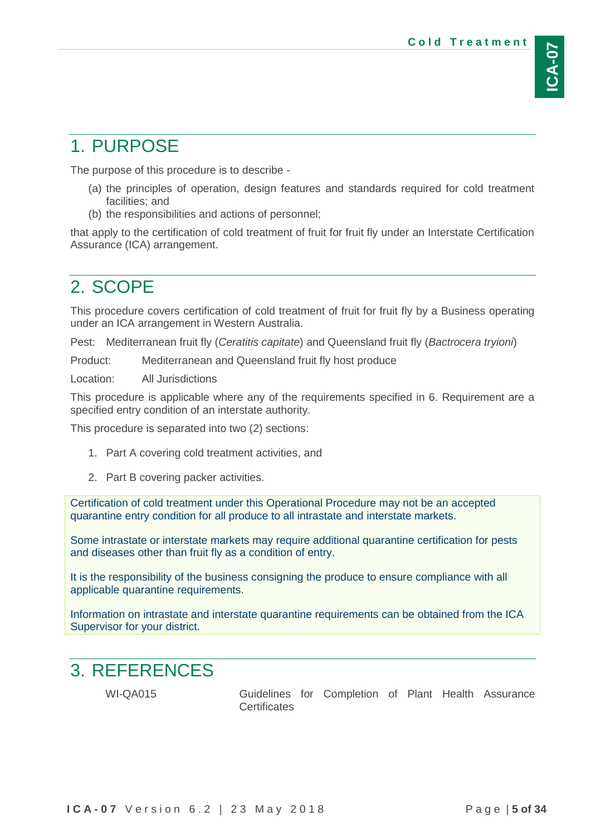# <span id="page-4-0"></span>1. PURPOSE

The purpose of this procedure is to describe -

- (a) the principles of operation, design features and standards required for cold treatment facilities; and
- (b) the responsibilities and actions of personnel;

that apply to the certification of cold treatment of fruit for fruit fly under an Interstate Certification Assurance (ICA) arrangement.

## <span id="page-4-1"></span>2. SCOPE

This procedure covers certification of cold treatment of fruit for fruit fly by a Business operating under an ICA arrangement in Western Australia.

Pest: Mediterranean fruit fly (*Ceratitis capitate*) and Queensland fruit fly (*Bactrocera tryioni*)

Product: Mediterranean and Queensland fruit fly host produce

Location: All Jurisdictions

This procedure is applicable where any of the requirements specified in 6. Requirement are a specified entry condition of an interstate authority.

This procedure is separated into two (2) sections:

- 1. Part A covering cold treatment activities, and
- 2. Part B covering packer activities.

Certification of cold treatment under this Operational Procedure may not be an accepted quarantine entry condition for all produce to all intrastate and interstate markets.

Some intrastate or interstate markets may require additional quarantine certification for pests and diseases other than fruit fly as a condition of entry.

It is the responsibility of the business consigning the produce to ensure compliance with all applicable quarantine requirements.

Information on intrastate and interstate quarantine requirements can be obtained from the ICA Supervisor for your district.

## <span id="page-4-2"></span>3. REFERENCES

WI-QA015 Guidelines for Completion of Plant Health Assurance **Certificates**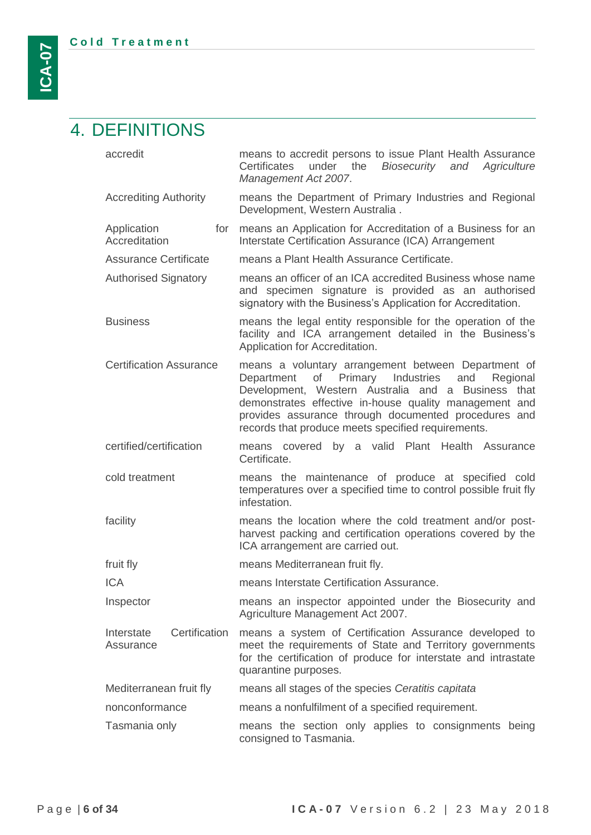## <span id="page-5-0"></span>4. DEFINITIONS

- accredit means to accredit persons to issue Plant Health Assurance Certificates under the *Biosecurity and Agriculture Management Act 2007*. Accrediting Authority means the Department of Primary Industries and Regional Development, Western Australia . Application **Accreditation** for means an Application for Accreditation of a Business for an Interstate Certification Assurance (ICA) Arrangement Assurance Certificate means a Plant Health Assurance Certificate. Authorised Signatory means an officer of an ICA accredited Business whose name and specimen signature is provided as an authorised signatory with the Business's Application for Accreditation. Business means the legal entity responsible for the operation of the facility and ICA arrangement detailed in the Business's Application for Accreditation. Certification Assurance means a voluntary arrangement between Department of Department of Primary Industries and Regional Development, Western Australia and a Business that demonstrates effective in-house quality management and provides assurance through documented procedures and records that produce meets specified requirements. certified/certification means covered by a valid Plant Health Assurance Certificate. cold treatment means the maintenance of produce at specified cold temperatures over a specified time to control possible fruit fly infestation. facility means the location where the cold treatment and/or postharvest packing and certification operations covered by the ICA arrangement are carried out. fruit fly means Mediterranean fruit fly. ICA means Interstate Certification Assurance. Inspector means an inspector appointed under the Biosecurity and Agriculture Management Act 2007. Interstate Certification means a system of Certification Assurance developed to Assurance meet the requirements of State and Territory governments for the certification of produce for interstate and intrastate quarantine purposes. Mediterranean fruit fly means all stages of the species *Ceratitis capitata* nonconformance means a nonfulfilment of a specified requirement.
- Tasmania only means the section only applies to consignments being consigned to Tasmania.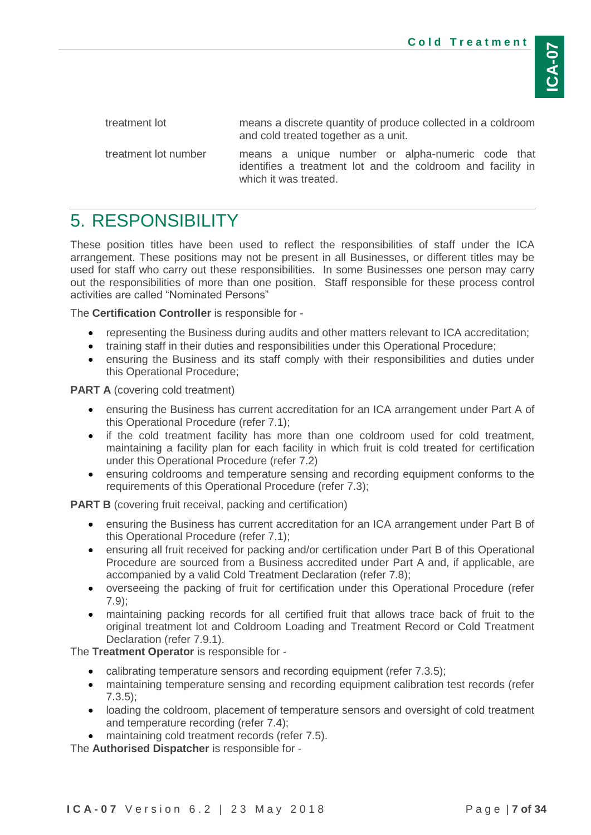treatment lot means a discrete quantity of produce collected in a coldroom and cold treated together as a unit.

treatment lot number means a unique number or alpha-numeric code that identifies a treatment lot and the coldroom and facility in which it was treated.

# <span id="page-6-0"></span>5. RESPONSIBILITY

These position titles have been used to reflect the responsibilities of staff under the ICA arrangement. These positions may not be present in all Businesses, or different titles may be used for staff who carry out these responsibilities. In some Businesses one person may carry out the responsibilities of more than one position. Staff responsible for these process control activities are called "Nominated Persons"

The **Certification Controller** is responsible for -

- representing the Business during audits and other matters relevant to ICA accreditation;
- training staff in their duties and responsibilities under this Operational Procedure;
- ensuring the Business and its staff comply with their responsibilities and duties under this Operational Procedure;

**PART A** (covering cold treatment)

- ensuring the Business has current accreditation for an ICA arrangement under Part A of this Operational Procedure (refer [7.1\)](#page-7-2);
- if the cold treatment facility has more than one coldroom used for cold treatment, maintaining a facility plan for each facility in which fruit is cold treated for certification under this Operational Procedure (refer [7.2\)](#page-9-1)
- ensuring coldrooms and temperature sensing and recording equipment conforms to the requirements of this Operational Procedure (refer [7.3\)](#page-9-2);

**PART B** (covering fruit receival, packing and certification)

- ensuring the Business has current accreditation for an ICA arrangement under Part B of this Operational Procedure (refer [7.1\)](#page-7-2);
- ensuring all fruit received for packing and/or certification under Part B of this Operational Procedure are sourced from a Business accredited under Part A and, if applicable, are accompanied by a valid Cold Treatment Declaration (refer [7.8\)](#page-15-0);
- overseeing the packing of fruit for certification under this Operational Procedure (refer [7.9\)](#page-15-2);
- maintaining packing records for all certified fruit that allows trace back of fruit to the original treatment lot and Coldroom Loading and Treatment Record or Cold Treatment Declaration (refer [7.9.1\)](#page-15-3).

The **Treatment Operator** is responsible for -

- calibrating temperature sensors and recording equipment (refer [7.3.5\)](#page-11-0);
- maintaining temperature sensing and recording equipment calibration test records (refer [7.3.5\)](#page-11-0);
- loading the coldroom, placement of temperature sensors and oversight of cold treatment and temperature recording (refer [7.4\)](#page-11-1);
- maintaining cold treatment records (refer [7.5\)](#page-13-1).

The **Authorised Dispatcher** is responsible for -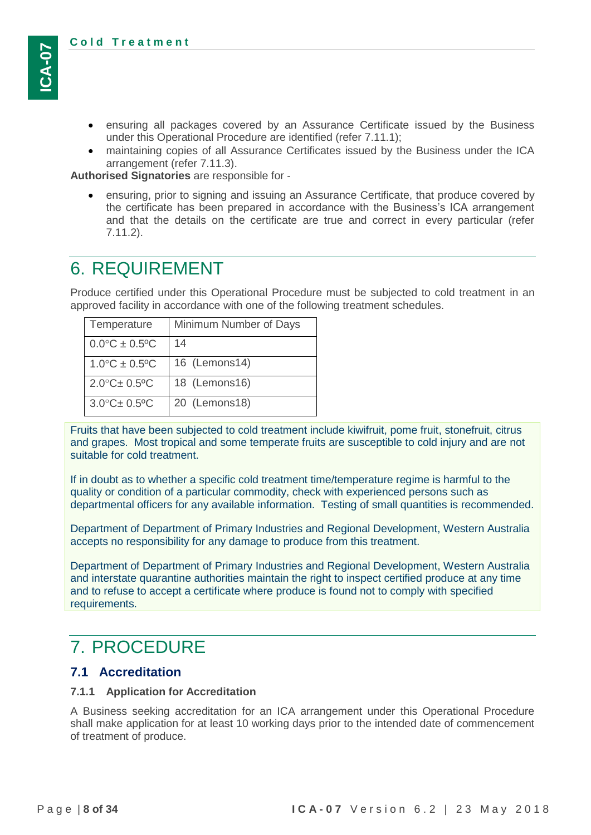- ensuring all packages covered by an Assurance Certificate issued by the Business under this Operational Procedure are identified (refer [7.11.1\)](#page-17-1);
- maintaining copies of all Assurance Certificates issued by the Business under the ICA arrangement (refer [7.11.3\)](#page-18-0).

**Authorised Signatories** are responsible for -

 ensuring, prior to signing and issuing an Assurance Certificate, that produce covered by the certificate has been prepared in accordance with the Business's ICA arrangement and that the details on the certificate are true and correct in every particular (refer [7.11.2\)](#page-17-2).

## <span id="page-7-0"></span>6. REQUIREMENT

Produce certified under this Operational Procedure must be subjected to cold treatment in an approved facility in accordance with one of the following treatment schedules.

| Temperature                     | Minimum Number of Days |
|---------------------------------|------------------------|
| $0.0^{\circ}C \pm 0.5^{\circ}C$ | 14                     |
| $1.0^{\circ}C \pm 0.5^{\circ}C$ | 16 (Lemons14)          |
| $2.0^{\circ}$ C $\pm$ 0.5°C     | 18 (Lemons16)          |
| $3.0^{\circ}$ C $\pm$ 0.5°C     | 20 (Lemons18)          |

Fruits that have been subjected to cold treatment include kiwifruit, pome fruit, stonefruit, citrus and grapes. Most tropical and some temperate fruits are susceptible to cold injury and are not suitable for cold treatment.

If in doubt as to whether a specific cold treatment time/temperature regime is harmful to the quality or condition of a particular commodity, check with experienced persons such as departmental officers for any available information. Testing of small quantities is recommended.

Department of Department of Primary Industries and Regional Development, Western Australia accepts no responsibility for any damage to produce from this treatment.

Department of Department of Primary Industries and Regional Development, Western Australia and interstate quarantine authorities maintain the right to inspect certified produce at any time and to refuse to accept a certificate where produce is found not to comply with specified requirements.

## <span id="page-7-1"></span>7. PROCEDURE

## <span id="page-7-2"></span>**7.1 Accreditation**

#### <span id="page-7-3"></span>**7.1.1 Application for Accreditation**

A Business seeking accreditation for an ICA arrangement under this Operational Procedure shall make application for at least 10 working days prior to the intended date of commencement of treatment of produce.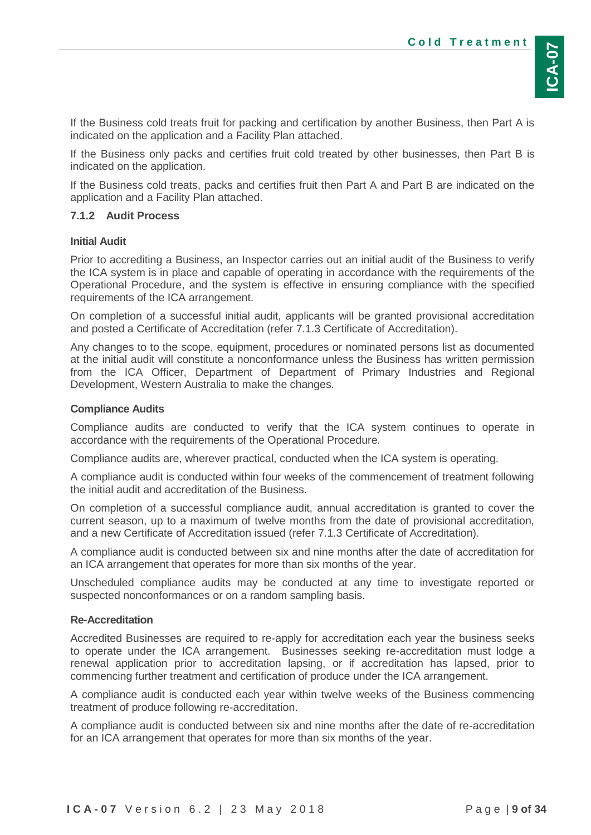If the Business cold treats fruit for packing and certification by another Business, then Part A is indicated on the application and a Facility Plan attached.

If the Business only packs and certifies fruit cold treated by other businesses, then Part B is indicated on the application.

If the Business cold treats, packs and certifies fruit then Part A and Part B are indicated on the application and a Facility Plan attached.

### <span id="page-8-0"></span>**7.1.2 Audit Process**

### **Initial Audit**

Prior to accrediting a Business, an Inspector carries out an initial audit of the Business to verify the ICA system is in place and capable of operating in accordance with the requirements of the Operational Procedure, and the system is effective in ensuring compliance with the specified requirements of the ICA arrangement.

On completion of a successful initial audit, applicants will be granted provisional accreditation and posted a Certificate of Accreditation (refer [7.1.3](#page-9-0) Certificate [of Accreditation\)](#page-9-0).

Any changes to to the scope, equipment, procedures or nominated persons list as documented at the initial audit will constitute a nonconformance unless the Business has written permission from the ICA Officer, Department of Department of Primary Industries and Regional Development, Western Australia to make the changes.

#### **Compliance Audits**

Compliance audits are conducted to verify that the ICA system continues to operate in accordance with the requirements of the Operational Procedure.

Compliance audits are, wherever practical, conducted when the ICA system is operating.

A compliance audit is conducted within four weeks of the commencement of treatment following the initial audit and accreditation of the Business.

On completion of a successful compliance audit, annual accreditation is granted to cover the current season, up to a maximum of twelve months from the date of provisional accreditation, and a new Certificate of Accreditation issued (refer [7.1.3](#page-9-0) Certificate [of Accreditation\)](#page-9-0).

A compliance audit is conducted between six and nine months after the date of accreditation for an ICA arrangement that operates for more than six months of the year.

Unscheduled compliance audits may be conducted at any time to investigate reported or suspected nonconformances or on a random sampling basis.

#### **Re-Accreditation**

Accredited Businesses are required to re-apply for accreditation each year the business seeks to operate under the ICA arrangement. Businesses seeking re-accreditation must lodge a renewal application prior to accreditation lapsing, or if accreditation has lapsed, prior to commencing further treatment and certification of produce under the ICA arrangement.

A compliance audit is conducted each year within twelve weeks of the Business commencing treatment of produce following re-accreditation.

A compliance audit is conducted between six and nine months after the date of re-accreditation for an ICA arrangement that operates for more than six months of the year.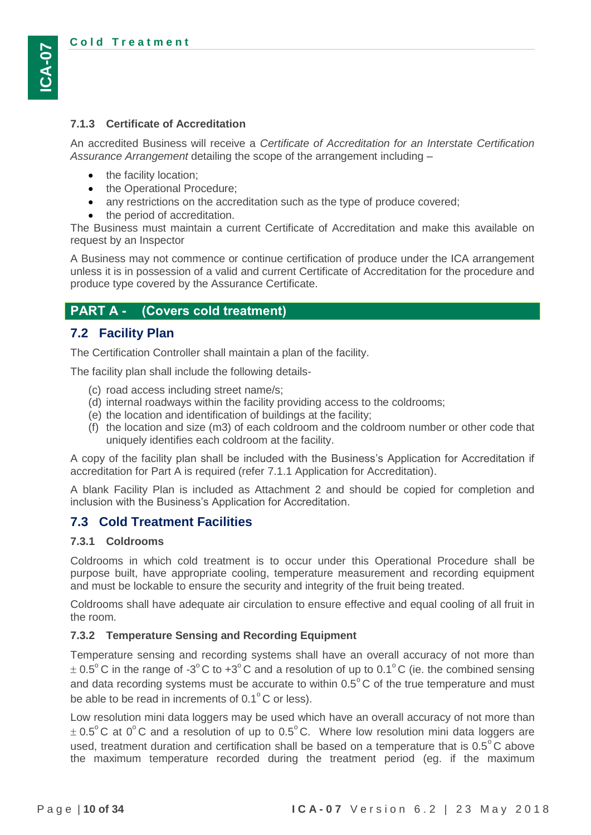### <span id="page-9-0"></span>**7.1.3 Certificate of Accreditation**

An accredited Business will receive a *Certificate of Accreditation for an Interstate Certification Assurance Arrangement* detailing the scope of the arrangement including –

- the facility location;
- the Operational Procedure;
- any restrictions on the accreditation such as the type of produce covered;
- the period of accreditation.

The Business must maintain a current Certificate of Accreditation and make this available on request by an Inspector

A Business may not commence or continue certification of produce under the ICA arrangement unless it is in possession of a valid and current Certificate of Accreditation for the procedure and produce type covered by the Assurance Certificate.

## **PART A - (Covers cold treatment)**

## <span id="page-9-1"></span>**7.2 Facility Plan**

The Certification Controller shall maintain a plan of the facility.

The facility plan shall include the following details-

- (c) road access including street name/s;
- (d) internal roadways within the facility providing access to the coldrooms;
- (e) the location and identification of buildings at the facility;
- (f) the location and size (m3) of each coldroom and the coldroom number or other code that uniquely identifies each coldroom at the facility.

A copy of the facility plan shall be included with the Business's Application for Accreditation if accreditation for Part A is required (refer [7.1.1](#page-7-3) [Application for Accreditation\)](#page-7-3).

A blank Facility Plan is included as Attachment 2 and should be copied for completion and inclusion with the Business's Application for Accreditation.

## <span id="page-9-2"></span>**7.3 Cold Treatment Facilities**

#### <span id="page-9-3"></span>**7.3.1 Coldrooms**

Coldrooms in which cold treatment is to occur under this Operational Procedure shall be purpose built, have appropriate cooling, temperature measurement and recording equipment and must be lockable to ensure the security and integrity of the fruit being treated.

Coldrooms shall have adequate air circulation to ensure effective and equal cooling of all fruit in the room.

#### <span id="page-9-4"></span>**7.3.2 Temperature Sensing and Recording Equipment**

Temperature sensing and recording systems shall have an overall accuracy of not more than  $\pm$  0.5°C in the range of -3°C to +3°C and a resolution of up to 0.1°C (ie. the combined sensing and data recording systems must be accurate to within 0.5 $^{\circ}$ C of the true temperature and must be able to be read in increments of  $0.1^{\circ}$ C or less).

Low resolution mini data loggers may be used which have an overall accuracy of not more than  $\pm$  0.5°C at 0°C and a resolution of up to 0.5°C. Where low resolution mini data loggers are used, treatment duration and certification shall be based on a temperature that is  $0.5^{\circ}$ C above the maximum temperature recorded during the treatment period (eg. if the maximum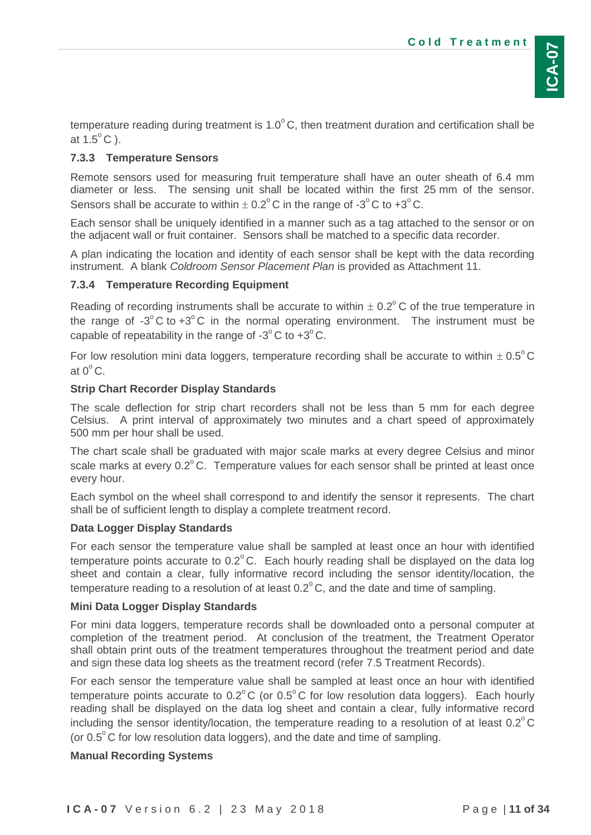temperature reading during treatment is 1.0 $^{\circ}$ C, then treatment duration and certification shall be at 1.5 $^{\circ}$ C).

## <span id="page-10-0"></span>**7.3.3 Temperature Sensors**

Remote sensors used for measuring fruit temperature shall have an outer sheath of 6.4 mm diameter or less. The sensing unit shall be located within the first 25 mm of the sensor. Sensors shall be accurate to within  $\pm$  0.2 $^{\circ}$ C in the range of -3 $^{\circ}$ C to +3 $^{\circ}$ C.

Each sensor shall be uniquely identified in a manner such as a tag attached to the sensor or on the adjacent wall or fruit container. Sensors shall be matched to a specific data recorder.

A plan indicating the location and identity of each sensor shall be kept with the data recording instrument. A blank *Coldroom Sensor Placement Plan* is provided as Attachment 11.

## <span id="page-10-1"></span>**7.3.4 Temperature Recording Equipment**

Reading of recording instruments shall be accurate to within  $\pm$  0.2°C of the true temperature in the range of -3 $^{\circ}$ C to +3 $^{\circ}$ C in the normal operating environment. The instrument must be capable of repeatability in the range of -3 $^{\circ}$ C to +3 $^{\circ}$ C.

For low resolution mini data loggers, temperature recording shall be accurate to within  $\pm$  0.5°C at  $0^{\circ}$  C.

## **Strip Chart Recorder Display Standards**

The scale deflection for strip chart recorders shall not be less than 5 mm for each degree Celsius. A print interval of approximately two minutes and a chart speed of approximately 500 mm per hour shall be used.

The chart scale shall be graduated with major scale marks at every degree Celsius and minor scale marks at every  $0.2^{\circ}$ C. Temperature values for each sensor shall be printed at least once every hour.

Each symbol on the wheel shall correspond to and identify the sensor it represents. The chart shall be of sufficient length to display a complete treatment record.

## **Data Logger Display Standards**

For each sensor the temperature value shall be sampled at least once an hour with identified temperature points accurate to  $0.2^{\circ}$ C. Each hourly reading shall be displayed on the data log sheet and contain a clear, fully informative record including the sensor identity/location, the temperature reading to a resolution of at least 0.2 $^{\circ}$ C, and the date and time of sampling.

## **Mini Data Logger Display Standards**

For mini data loggers, temperature records shall be downloaded onto a personal computer at completion of the treatment period. At conclusion of the treatment, the Treatment Operator shall obtain print outs of the treatment temperatures throughout the treatment period and date and sign these data log sheets as the treatment record (refer [7.5](#page-13-1) [Treatment Records\)](#page-13-1).

For each sensor the temperature value shall be sampled at least once an hour with identified temperature points accurate to  $0.2^{\circ}$ C (or  $0.5^{\circ}$ C for low resolution data loggers). Each hourly reading shall be displayed on the data log sheet and contain a clear, fully informative record including the sensor identity/location, the temperature reading to a resolution of at least  $0.2^{\circ}$ C (or  $0.5^{\circ}$ C for low resolution data loggers), and the date and time of sampling.

## **Manual Recording Systems**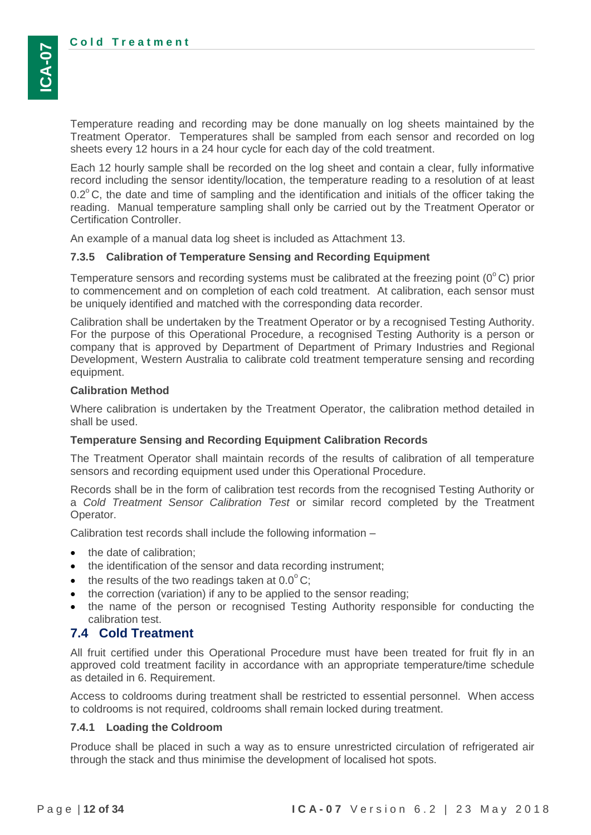Temperature reading and recording may be done manually on log sheets maintained by the Treatment Operator. Temperatures shall be sampled from each sensor and recorded on log sheets every 12 hours in a 24 hour cycle for each day of the cold treatment.

Each 12 hourly sample shall be recorded on the log sheet and contain a clear, fully informative record including the sensor identity/location, the temperature reading to a resolution of at least  $0.2^{\circ}$ C, the date and time of sampling and the identification and initials of the officer taking the reading. Manual temperature sampling shall only be carried out by the Treatment Operator or Certification Controller.

An example of a manual data log sheet is included as Attachment 13.

#### <span id="page-11-0"></span>**7.3.5 Calibration of Temperature Sensing and Recording Equipment**

Temperature sensors and recording systems must be calibrated at the freezing point (0 $^{\circ}$ C) prior to commencement and on completion of each cold treatment. At calibration, each sensor must be uniquely identified and matched with the corresponding data recorder.

Calibration shall be undertaken by the Treatment Operator or by a recognised Testing Authority. For the purpose of this Operational Procedure, a recognised Testing Authority is a person or company that is approved by Department of Department of Primary Industries and Regional Development, Western Australia to calibrate cold treatment temperature sensing and recording equipment.

#### **Calibration Method**

Where calibration is undertaken by the Treatment Operator, the calibration method detailed in shall be used.

#### **Temperature Sensing and Recording Equipment Calibration Records**

The Treatment Operator shall maintain records of the results of calibration of all temperature sensors and recording equipment used under this Operational Procedure.

Records shall be in the form of calibration test records from the recognised Testing Authority or a *Cold Treatment Sensor Calibration Test* or similar record completed by the Treatment Operator.

Calibration test records shall include the following information –

- the date of calibration;
- the identification of the sensor and data recording instrument;
- $\bullet$  the results of the two readings taken at 0.0 $^{\circ}$ C;
- the correction (variation) if any to be applied to the sensor reading;
- the name of the person or recognised Testing Authority responsible for conducting the calibration test.

## <span id="page-11-1"></span>**7.4 Cold Treatment**

All fruit certified under this Operational Procedure must have been treated for fruit fly in an approved cold treatment facility in accordance with an appropriate temperature/time schedule as detailed in [6. Requirement.](#page-7-0)

Access to coldrooms during treatment shall be restricted to essential personnel. When access to coldrooms is not required, coldrooms shall remain locked during treatment.

#### <span id="page-11-2"></span>**7.4.1 Loading the Coldroom**

Produce shall be placed in such a way as to ensure unrestricted circulation of refrigerated air through the stack and thus minimise the development of localised hot spots.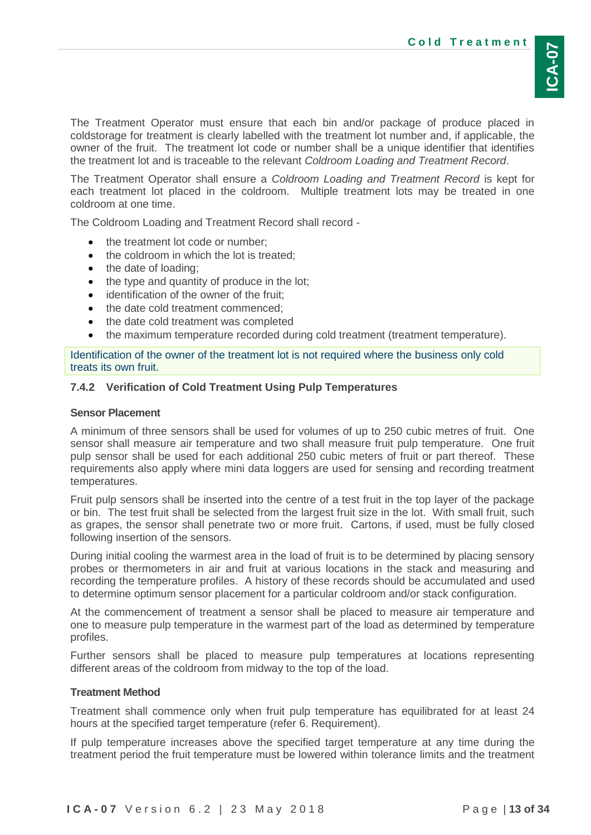The Treatment Operator must ensure that each bin and/or package of produce placed in coldstorage for treatment is clearly labelled with the treatment lot number and, if applicable, the owner of the fruit. The treatment lot code or number shall be a unique identifier that identifies the treatment lot and is traceable to the relevant *Coldroom Loading and Treatment Record*.

The Treatment Operator shall ensure a *Coldroom Loading and Treatment Record* is kept for each treatment lot placed in the coldroom. Multiple treatment lots may be treated in one coldroom at one time.

The Coldroom Loading and Treatment Record shall record -

- the treatment lot code or number;
- the coldroom in which the lot is treated;
- the date of loading;
- the type and quantity of produce in the lot;
- identification of the owner of the fruit:
- the date cold treatment commenced;
- the date cold treatment was completed
- the maximum temperature recorded during cold treatment (treatment temperature).

Identification of the owner of the treatment lot is not required where the business only cold treats its own fruit.

#### <span id="page-12-0"></span>**7.4.2 Verification of Cold Treatment Using Pulp Temperatures**

#### **Sensor Placement**

A minimum of three sensors shall be used for volumes of up to 250 cubic metres of fruit. One sensor shall measure air temperature and two shall measure fruit pulp temperature. One fruit pulp sensor shall be used for each additional 250 cubic meters of fruit or part thereof. These requirements also apply where mini data loggers are used for sensing and recording treatment temperatures.

Fruit pulp sensors shall be inserted into the centre of a test fruit in the top layer of the package or bin. The test fruit shall be selected from the largest fruit size in the lot. With small fruit, such as grapes, the sensor shall penetrate two or more fruit. Cartons, if used, must be fully closed following insertion of the sensors.

During initial cooling the warmest area in the load of fruit is to be determined by placing sensory probes or thermometers in air and fruit at various locations in the stack and measuring and recording the temperature profiles. A history of these records should be accumulated and used to determine optimum sensor placement for a particular coldroom and/or stack configuration.

At the commencement of treatment a sensor shall be placed to measure air temperature and one to measure pulp temperature in the warmest part of the load as determined by temperature profiles.

Further sensors shall be placed to measure pulp temperatures at locations representing different areas of the coldroom from midway to the top of the load.

#### **Treatment Method**

Treatment shall commence only when fruit pulp temperature has equilibrated for at least 24 hours at the specified target temperature (refer [6. Requirement\)](#page-7-0).

If pulp temperature increases above the specified target temperature at any time during the treatment period the fruit temperature must be lowered within tolerance limits and the treatment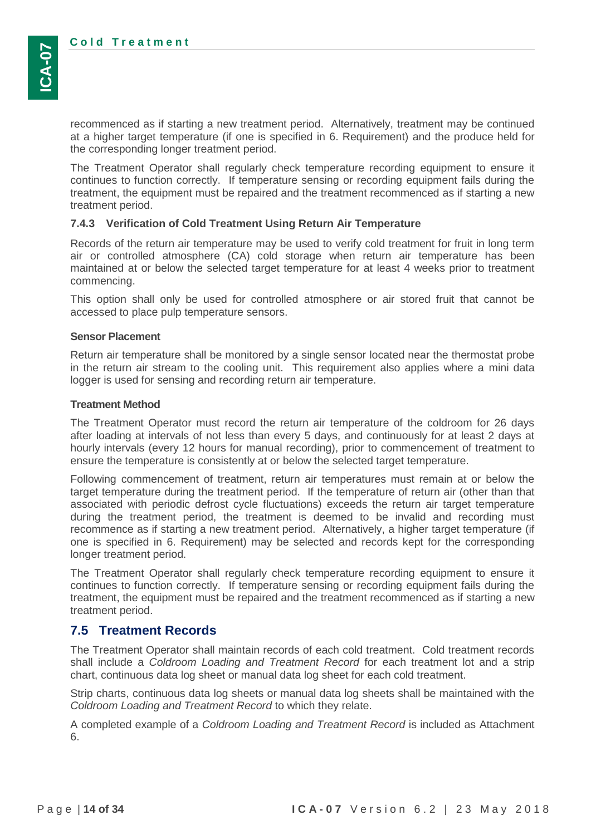recommenced as if starting a new treatment period. Alternatively, treatment may be continued at a higher target temperature (if one is specified in [6. Requirement\)](#page-7-0) and the produce held for the corresponding longer treatment period.

The Treatment Operator shall regularly check temperature recording equipment to ensure it continues to function correctly. If temperature sensing or recording equipment fails during the treatment, the equipment must be repaired and the treatment recommenced as if starting a new treatment period.

#### <span id="page-13-0"></span>**7.4.3 Verification of Cold Treatment Using Return Air Temperature**

Records of the return air temperature may be used to verify cold treatment for fruit in long term air or controlled atmosphere (CA) cold storage when return air temperature has been maintained at or below the selected target temperature for at least 4 weeks prior to treatment commencing.

This option shall only be used for controlled atmosphere or air stored fruit that cannot be accessed to place pulp temperature sensors.

#### **Sensor Placement**

Return air temperature shall be monitored by a single sensor located near the thermostat probe in the return air stream to the cooling unit. This requirement also applies where a mini data logger is used for sensing and recording return air temperature.

#### **Treatment Method**

The Treatment Operator must record the return air temperature of the coldroom for 26 days after loading at intervals of not less than every 5 days, and continuously for at least 2 days at hourly intervals (every 12 hours for manual recording), prior to commencement of treatment to ensure the temperature is consistently at or below the selected target temperature.

Following commencement of treatment, return air temperatures must remain at or below the target temperature during the treatment period. If the temperature of return air (other than that associated with periodic defrost cycle fluctuations) exceeds the return air target temperature during the treatment period, the treatment is deemed to be invalid and recording must recommence as if starting a new treatment period. Alternatively, a higher target temperature (if one is specified in [6. Requirement\)](#page-7-0) may be selected and records kept for the corresponding longer treatment period.

The Treatment Operator shall regularly check temperature recording equipment to ensure it continues to function correctly. If temperature sensing or recording equipment fails during the treatment, the equipment must be repaired and the treatment recommenced as if starting a new treatment period.

## <span id="page-13-1"></span>**7.5 Treatment Records**

The Treatment Operator shall maintain records of each cold treatment. Cold treatment records shall include a *Coldroom Loading and Treatment Record* for each treatment lot and a strip chart, continuous data log sheet or manual data log sheet for each cold treatment.

Strip charts, continuous data log sheets or manual data log sheets shall be maintained with the *Coldroom Loading and Treatment Record* to which they relate.

A completed example of a *Coldroom Loading and Treatment Record* is included as [Attachment](#page-26-0)  [6.](#page-26-0)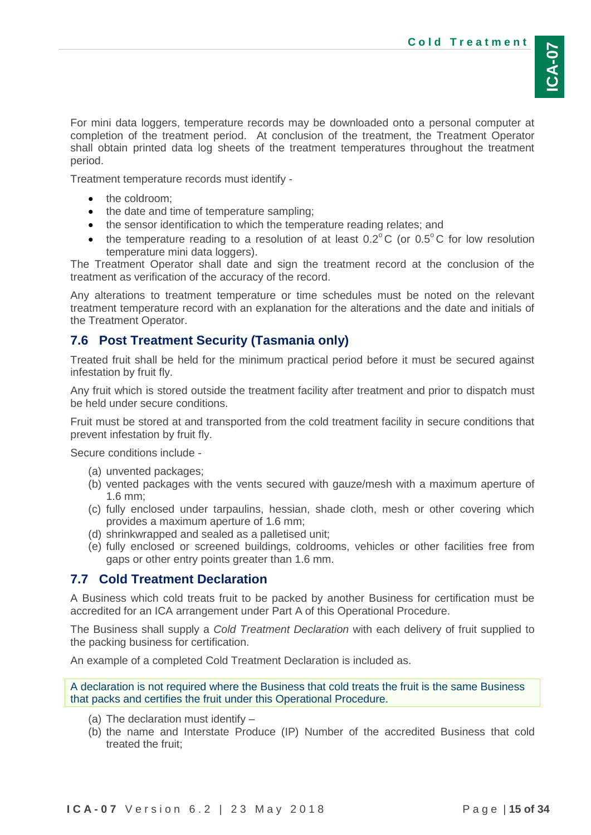For mini data loggers, temperature records may be downloaded onto a personal computer at completion of the treatment period. At conclusion of the treatment, the Treatment Operator shall obtain printed data log sheets of the treatment temperatures throughout the treatment period.

Treatment temperature records must identify -

- the coldroom:
- the date and time of temperature sampling;
- the sensor identification to which the temperature reading relates; and
- the temperature reading to a resolution of at least  $0.2^{\circ}$ C (or  $0.5^{\circ}$ C for low resolution temperature mini data loggers).

The Treatment Operator shall date and sign the treatment record at the conclusion of the treatment as verification of the accuracy of the record.

Any alterations to treatment temperature or time schedules must be noted on the relevant treatment temperature record with an explanation for the alterations and the date and initials of the Treatment Operator.

### <span id="page-14-0"></span>**7.6 Post Treatment Security (Tasmania only)**

Treated fruit shall be held for the minimum practical period before it must be secured against infestation by fruit fly.

Any fruit which is stored outside the treatment facility after treatment and prior to dispatch must be held under secure conditions.

Fruit must be stored at and transported from the cold treatment facility in secure conditions that prevent infestation by fruit fly.

Secure conditions include -

- (a) unvented packages;
- (b) vented packages with the vents secured with gauze/mesh with a maximum aperture of 1.6 mm;
- (c) fully enclosed under tarpaulins, hessian, shade cloth, mesh or other covering which provides a maximum aperture of 1.6 mm;
- (d) shrinkwrapped and sealed as a palletised unit;
- (e) fully enclosed or screened buildings, coldrooms, vehicles or other facilities free from gaps or other entry points greater than 1.6 mm.

#### <span id="page-14-1"></span>**7.7 Cold Treatment Declaration**

A Business which cold treats fruit to be packed by another Business for certification must be accredited for an ICA arrangement under Part A of this Operational Procedure.

The Business shall supply a *Cold Treatment Declaration* with each delivery of fruit supplied to the packing business for certification.

An example of a completed Cold Treatment Declaration is included as.

A declaration is not required where the Business that cold treats the fruit is the same Business that packs and certifies the fruit under this Operational Procedure.

- (a) The declaration must identify –
- (b) the name and Interstate Produce (IP) Number of the accredited Business that cold treated the fruit;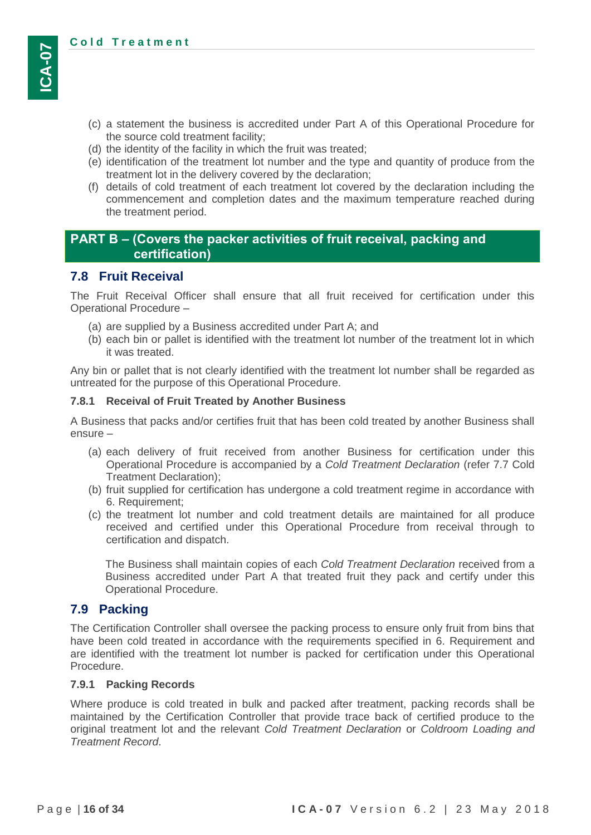- (c) a statement the business is accredited under Part A of this Operational Procedure for the source cold treatment facility;
- (d) the identity of the facility in which the fruit was treated;
- (e) identification of the treatment lot number and the type and quantity of produce from the treatment lot in the delivery covered by the declaration;
- (f) details of cold treatment of each treatment lot covered by the declaration including the commencement and completion dates and the maximum temperature reached during the treatment period.

## **PART B – (Covers the packer activities of fruit receival, packing and certification)**

## <span id="page-15-0"></span>**7.8 Fruit Receival**

The Fruit Receival Officer shall ensure that all fruit received for certification under this Operational Procedure –

- (a) are supplied by a Business accredited under Part A; and
- (b) each bin or pallet is identified with the treatment lot number of the treatment lot in which it was treated.

Any bin or pallet that is not clearly identified with the treatment lot number shall be regarded as untreated for the purpose of this Operational Procedure.

#### <span id="page-15-1"></span>**7.8.1 Receival of Fruit Treated by Another Business**

A Business that packs and/or certifies fruit that has been cold treated by another Business shall ensure –

- (a) each delivery of fruit received from another Business for certification under this Operational Procedure is accompanied by a *Cold Treatment Declaration* (refer [7.7](#page-14-1) [Cold](#page-14-1)  [Treatment Declaration\)](#page-14-1);
- (b) fruit supplied for certification has undergone a cold treatment regime in accordance with [6. Requirement;](#page-7-0)
- (c) the treatment lot number and cold treatment details are maintained for all produce received and certified under this Operational Procedure from receival through to certification and dispatch.

The Business shall maintain copies of each *Cold Treatment Declaration* received from a Business accredited under Part A that treated fruit they pack and certify under this Operational Procedure.

## <span id="page-15-2"></span>**7.9 Packing**

The Certification Controller shall oversee the packing process to ensure only fruit from bins that have been cold treated in accordance with the requirements specified in [6. Requirement](#page-7-0) and are identified with the treatment lot number is packed for certification under this Operational Procedure.

#### <span id="page-15-3"></span>**7.9.1 Packing Records**

Where produce is cold treated in bulk and packed after treatment, packing records shall be maintained by the Certification Controller that provide trace back of certified produce to the original treatment lot and the relevant *Cold Treatment Declaration* or *Coldroom Loading and Treatment Record*.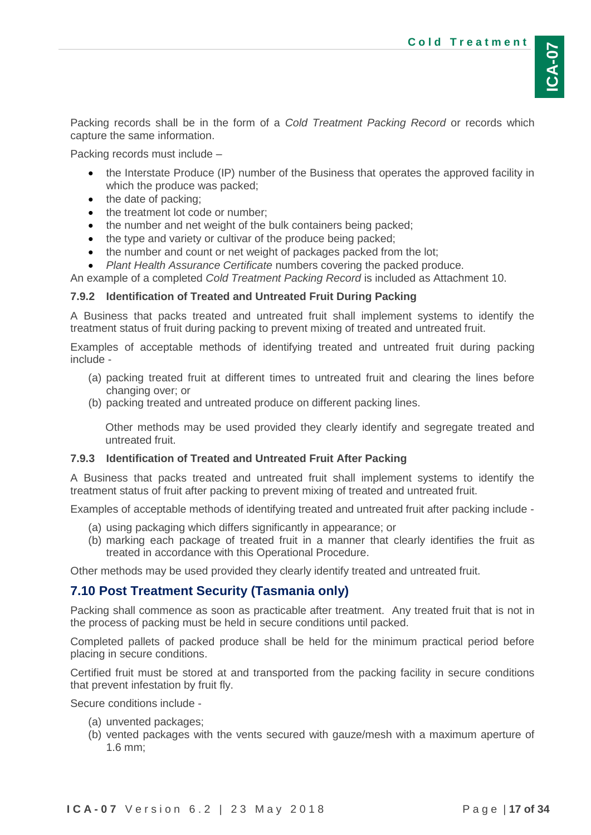Packing records shall be in the form of a *Cold Treatment Packing Record* or records which capture the same information.

Packing records must include –

- the Interstate Produce (IP) number of the Business that operates the approved facility in which the produce was packed;
- the date of packing;
- the treatment lot code or number;
- the number and net weight of the bulk containers being packed;
- the type and variety or cultivar of the produce being packed;
- the number and count or net weight of packages packed from the lot;
- *Plant Health Assurance Certificate* numbers covering the packed produce.

An example of a completed *Cold Treatment Packing Record* is included as Attachment 10.

## <span id="page-16-0"></span>**7.9.2 Identification of Treated and Untreated Fruit During Packing**

A Business that packs treated and untreated fruit shall implement systems to identify the treatment status of fruit during packing to prevent mixing of treated and untreated fruit.

Examples of acceptable methods of identifying treated and untreated fruit during packing include -

- (a) packing treated fruit at different times to untreated fruit and clearing the lines before changing over; or
- (b) packing treated and untreated produce on different packing lines.

Other methods may be used provided they clearly identify and segregate treated and untreated fruit.

## <span id="page-16-1"></span>**7.9.3 Identification of Treated and Untreated Fruit After Packing**

A Business that packs treated and untreated fruit shall implement systems to identify the treatment status of fruit after packing to prevent mixing of treated and untreated fruit.

Examples of acceptable methods of identifying treated and untreated fruit after packing include -

- (a) using packaging which differs significantly in appearance; or
- (b) marking each package of treated fruit in a manner that clearly identifies the fruit as treated in accordance with this Operational Procedure.

Other methods may be used provided they clearly identify treated and untreated fruit.

## <span id="page-16-2"></span>**7.10 Post Treatment Security (Tasmania only)**

Packing shall commence as soon as practicable after treatment. Any treated fruit that is not in the process of packing must be held in secure conditions until packed.

Completed pallets of packed produce shall be held for the minimum practical period before placing in secure conditions.

Certified fruit must be stored at and transported from the packing facility in secure conditions that prevent infestation by fruit fly.

Secure conditions include -

- (a) unvented packages;
- (b) vented packages with the vents secured with gauze/mesh with a maximum aperture of 1.6 mm;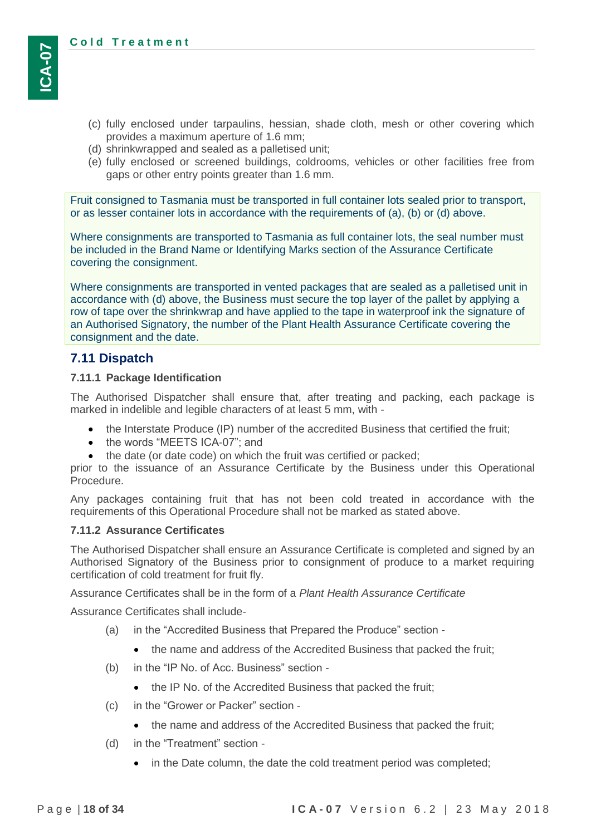- (c) fully enclosed under tarpaulins, hessian, shade cloth, mesh or other covering which provides a maximum aperture of 1.6 mm;
- (d) shrinkwrapped and sealed as a palletised unit;
- (e) fully enclosed or screened buildings, coldrooms, vehicles or other facilities free from gaps or other entry points greater than 1.6 mm.

Fruit consigned to Tasmania must be transported in full container lots sealed prior to transport, or as lesser container lots in accordance with the requirements of (a), (b) or (d) above.

Where consignments are transported to Tasmania as full container lots, the seal number must be included in the Brand Name or Identifying Marks section of the Assurance Certificate covering the consignment.

Where consignments are transported in vented packages that are sealed as a palletised unit in accordance with (d) above, the Business must secure the top layer of the pallet by applying a row of tape over the shrinkwrap and have applied to the tape in waterproof ink the signature of an Authorised Signatory, the number of the Plant Health Assurance Certificate covering the consignment and the date.

## <span id="page-17-0"></span>**7.11 Dispatch**

#### <span id="page-17-1"></span>**7.11.1 Package Identification**

The Authorised Dispatcher shall ensure that, after treating and packing, each package is marked in indelible and legible characters of at least 5 mm, with -

- the Interstate Produce (IP) number of the accredited Business that certified the fruit;
- the words "MEETS ICA-07": and
- the date (or date code) on which the fruit was certified or packed;

prior to the issuance of an Assurance Certificate by the Business under this Operational Procedure.

Any packages containing fruit that has not been cold treated in accordance with the requirements of this Operational Procedure shall not be marked as stated above.

#### <span id="page-17-2"></span>**7.11.2 Assurance Certificates**

The Authorised Dispatcher shall ensure an Assurance Certificate is completed and signed by an Authorised Signatory of the Business prior to consignment of produce to a market requiring certification of cold treatment for fruit fly.

Assurance Certificates shall be in the form of a *Plant Health Assurance Certificate* 

Assurance Certificates shall include-

- (a) in the "Accredited Business that Prepared the Produce" section
	- the name and address of the Accredited Business that packed the fruit;
- (b) in the "IP No. of Acc. Business" section
	- the IP No. of the Accredited Business that packed the fruit;
- (c) in the "Grower or Packer" section
	- the name and address of the Accredited Business that packed the fruit;
- (d) in the "Treatment" section
	- in the Date column, the date the cold treatment period was completed;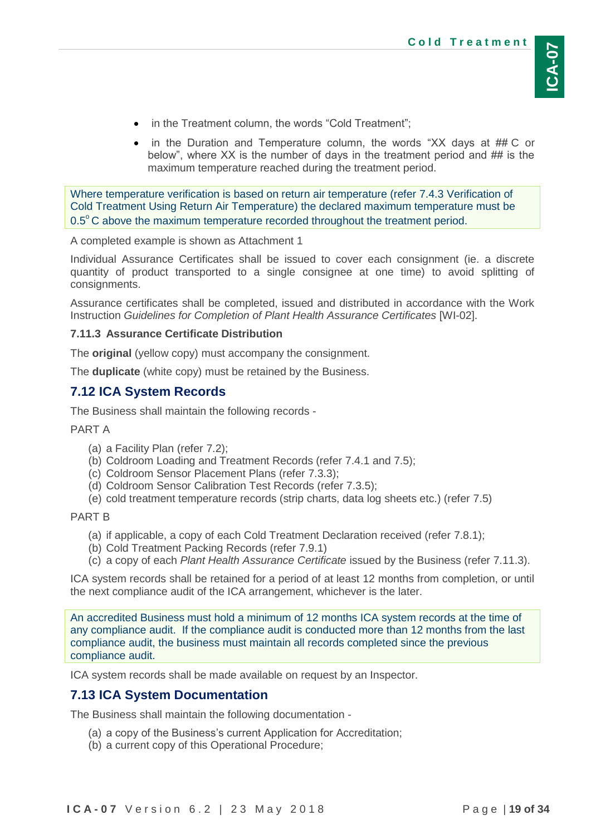- in the Treatment column, the words "Cold Treatment";
- in the Duration and Temperature column, the words "XX days at ## C or below", where XX is the number of days in the treatment period and ## is the maximum temperature reached during the treatment period.

Where temperature verification is based on return air temperature (refer [7.4.3](#page-13-0) [Verification of](#page-13-0)  [Cold Treatment Using Return Air Temperature\)](#page-13-0) the declared maximum temperature must be  $0.5^{\circ}$ C above the maximum temperature recorded throughout the treatment period.

A completed example is shown as Attachment 1

Individual Assurance Certificates shall be issued to cover each consignment (ie. a discrete quantity of product transported to a single consignee at one time) to avoid splitting of consignments.

Assurance certificates shall be completed, issued and distributed in accordance with the Work Instruction *Guidelines for Completion of Plant Health Assurance Certificates* [WI-02].

## <span id="page-18-0"></span>**7.11.3 Assurance Certificate Distribution**

The **original** (yellow copy) must accompany the consignment.

The **duplicate** (white copy) must be retained by the Business.

## <span id="page-18-1"></span>**7.12 ICA System Records**

The Business shall maintain the following records -

#### PART A

- (a) a Facility Plan (refer [7.2\)](#page-9-1);
- (b) Coldroom Loading and Treatment Records (refer [7.4.1](#page-11-2) and [7.5\)](#page-13-1);
- (c) Coldroom Sensor Placement Plans (refer [7.3.3\)](#page-10-0);
- (d) Coldroom Sensor Calibration Test Records (refer [7.3.5\)](#page-11-0);
- (e) cold treatment temperature records (strip charts, data log sheets etc.) (refer [7.5\)](#page-13-1)

#### PART B

- (a) if applicable, a copy of each Cold Treatment Declaration received (refer [7.8.1\)](#page-15-1);
- (b) Cold Treatment Packing Records (refer [7.9.1\)](#page-15-3)
- (c) a copy of each *Plant Health Assurance Certificate* issued by the Business (refer [7.11.3\)](#page-18-0).

ICA system records shall be retained for a period of at least 12 months from completion, or until the next compliance audit of the ICA arrangement, whichever is the later.

An accredited Business must hold a minimum of 12 months ICA system records at the time of any compliance audit. If the compliance audit is conducted more than 12 months from the last compliance audit, the business must maintain all records completed since the previous compliance audit.

ICA system records shall be made available on request by an Inspector.

## <span id="page-18-2"></span>**7.13 ICA System Documentation**

The Business shall maintain the following documentation -

- (a) a copy of the Business's current Application for Accreditation;
- (b) a current copy of this Operational Procedure;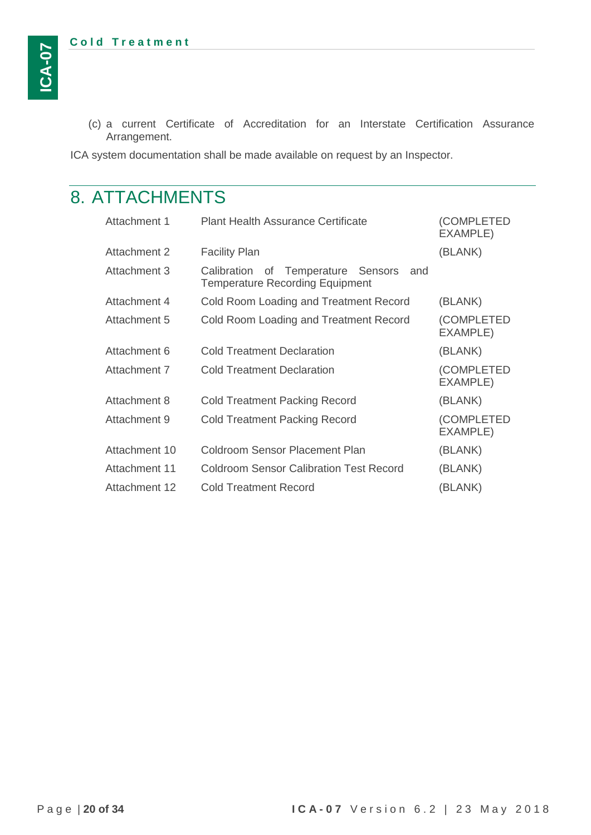(c) a current Certificate of Accreditation for an Interstate Certification Assurance Arrangement.

ICA system documentation shall be made available on request by an Inspector.

# <span id="page-19-0"></span>8. ATTACHMENTS

| Attachment 1  | <b>Plant Health Assurance Certificate</b>                                           | (COMPLETED<br><b>EXAMPLE)</b> |
|---------------|-------------------------------------------------------------------------------------|-------------------------------|
| Attachment 2  | <b>Facility Plan</b>                                                                | (BLANK)                       |
| Attachment 3  | Calibration of Temperature Sensors<br>and<br><b>Temperature Recording Equipment</b> |                               |
| Attachment 4  | Cold Room Loading and Treatment Record                                              | (BLANK)                       |
| Attachment 5  | Cold Room Loading and Treatment Record                                              | (COMPLETED<br><b>EXAMPLE)</b> |
| Attachment 6  | <b>Cold Treatment Declaration</b>                                                   | (BLANK)                       |
| Attachment 7  | <b>Cold Treatment Declaration</b>                                                   | (COMPLETED<br>EXAMPLE)        |
| Attachment 8  | <b>Cold Treatment Packing Record</b>                                                | (BLANK)                       |
| Attachment 9  | <b>Cold Treatment Packing Record</b>                                                | (COMPLETED<br>EXAMPLE)        |
| Attachment 10 | Coldroom Sensor Placement Plan                                                      | (BLANK)                       |
| Attachment 11 | <b>Coldroom Sensor Calibration Test Record</b>                                      | (BLANK)                       |
| Attachment 12 | Cold Treatment Record                                                               | (BLANK)                       |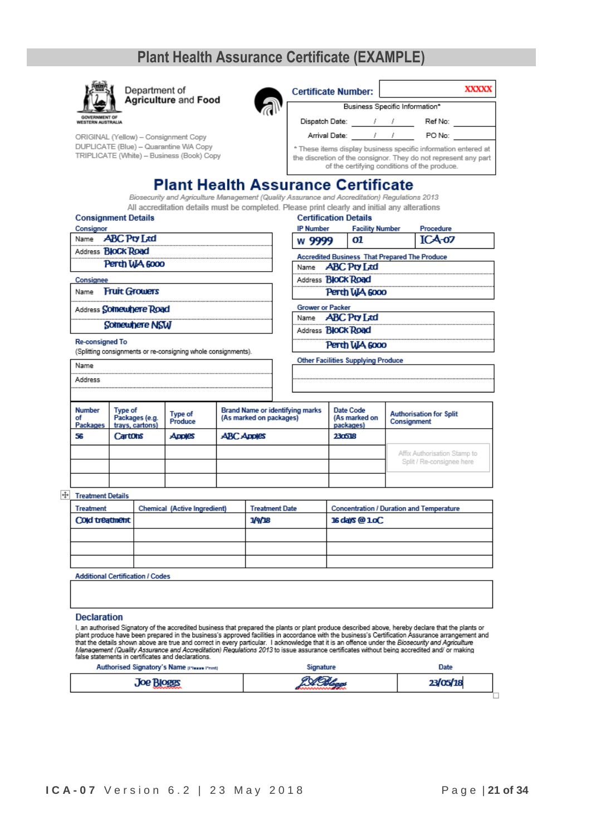## **Plant Health Assurance Certificate (EXAMPLE)**



Department of **Agriculture and Food** 

ORIGINAL (Yellow) - Consignment Copy DUPLICATE (Blue) - Quarantine WA Copy TRIPLICATE (White) - Business (Book) Copy



| <b>Certificate Number:</b>                                                                                                                                                        |  |  |         | XXXXX |  |
|-----------------------------------------------------------------------------------------------------------------------------------------------------------------------------------|--|--|---------|-------|--|
| Business Specific Information*                                                                                                                                                    |  |  |         |       |  |
| Dispatch Date:                                                                                                                                                                    |  |  | Ref No: |       |  |
| Arrival Date:                                                                                                                                                                     |  |  | PO No:  |       |  |
| * These items display business specific information entered at<br>the discretion of the consignor. They do not represent any part<br>of the certifying conditions of the produce. |  |  |         |       |  |

**Plant Health Assurance Certificate** 

Biosecurity and Agriculture Management (Quality Assurance and Accreditation) Regulations 2013 All accreditation details must be completed. Please print cle nu alta

| <b>Consignment Details</b> |  |
|----------------------------|--|
|                            |  |

Consignor **ABC Pty Ltd** Name Address **BloCk Road** Perth WA 6000 Consignee

Name Fruit Growers

Address Somewhere Road

Somewhere NSW

**Re-consigned To** 

(Splitting consignments or re-consigning whole consignments).

| icasc piint Gicany and iniual any allcrativiis |                                                      |                        |           |  |  |  |
|------------------------------------------------|------------------------------------------------------|------------------------|-----------|--|--|--|
|                                                | <b>Certification Details</b>                         |                        |           |  |  |  |
|                                                | <b>IP Number</b>                                     | <b>Facility Number</b> | Procedure |  |  |  |
|                                                | w 9999                                               | 01                     | $ICA-07$  |  |  |  |
|                                                | <b>Accredited Business That Prepared The Produce</b> |                        |           |  |  |  |
|                                                | Name <b>ABC Pty Ltd</b>                              |                        |           |  |  |  |
|                                                | Address <b>BloCk Road</b>                            |                        |           |  |  |  |
|                                                | Perth WA 6000                                        |                        |           |  |  |  |
|                                                | <b>Grower or Packer</b>                              |                        |           |  |  |  |
|                                                | Name <b>ABC Pty Ltd</b>                              |                        |           |  |  |  |

Address **BloCk Road** Perth WA 6000

|  | Name<br>Address                 |                                              |                    | Other Facilities Supplying Produce                         |                                         |                                                           |
|--|---------------------------------|----------------------------------------------|--------------------|------------------------------------------------------------|-----------------------------------------|-----------------------------------------------------------|
|  |                                 |                                              |                    |                                                            |                                         |                                                           |
|  |                                 |                                              |                    |                                                            |                                         |                                                           |
|  | <b>Number</b><br>οf<br>Packages | Type of<br>Packages (e.g.<br>trays, cartons) | Type of<br>Produce | Brand Name or identifying marks<br>(As marked on packages) | Date Code<br>(As marked on<br>packages) | <b>Authorisation for Split</b><br>Consignment             |
|  | 56                              | Cartons                                      | <b>ADDIES</b>      | <b>ABC Apples</b>                                          | 230518                                  |                                                           |
|  |                                 |                                              |                    |                                                            |                                         | Affix Authorisation Stamp to<br>Solit / Re-consignee here |

 $+$  Treatment Details

| Treatment                               | Chemical (Active Ingredient) | <b>Treatment Date</b> | <b>Concentration / Duration and Temperature</b> |  |  |
|-----------------------------------------|------------------------------|-----------------------|-------------------------------------------------|--|--|
| Cold treatment                          |                              | 1/4/18                | 16 days @ 1.oC                                  |  |  |
|                                         |                              |                       |                                                 |  |  |
|                                         |                              |                       |                                                 |  |  |
|                                         |                              |                       |                                                 |  |  |
| <b>Additional Certification / Codes</b> |                              |                       |                                                 |  |  |

#### **Declaration**

I, an authorised Signatory of the accredited business that prepared the plants or plant produce described above, hereby declare that the plants or<br>plant produce have been prepared in the business's approved facilities in a

| Authorised Signatory's Name presse Print | Signature | Date     |  |
|------------------------------------------|-----------|----------|--|
| Joe Bloees                               |           | 23/05/18 |  |
|                                          |           |          |  |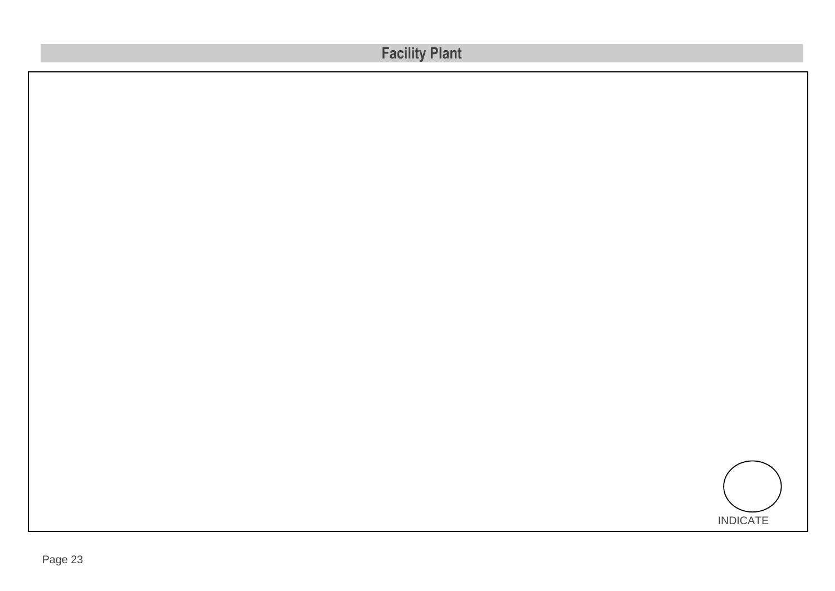| <b>Facility Plant</b> |  |
|-----------------------|--|
|                       |  |
|                       |  |
|                       |  |
|                       |  |
|                       |  |
|                       |  |
|                       |  |
|                       |  |
|                       |  |
|                       |  |
|                       |  |
|                       |  |
|                       |  |
| <b>INDICATE</b>       |  |

NORTH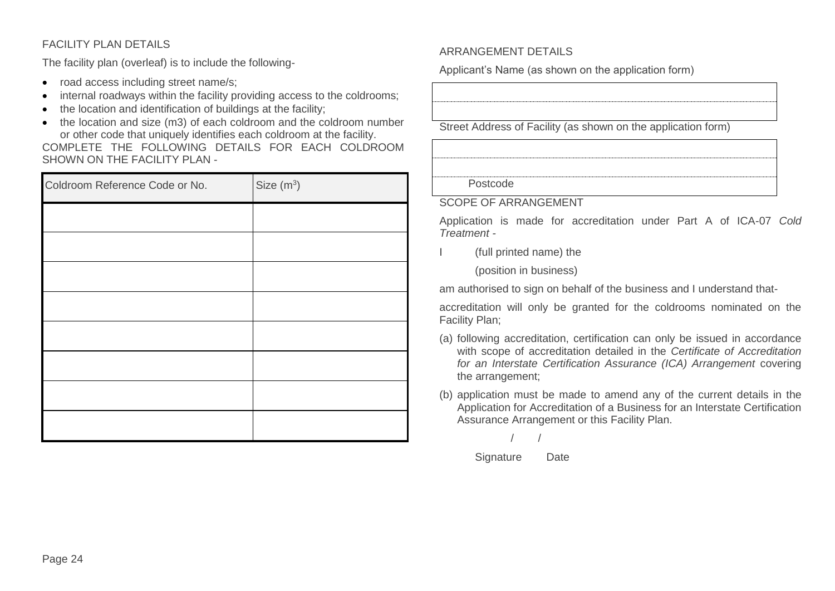## FACILITY PLAN DETAILS

The facility plan (overleaf) is to include the following-

- road access including street name/s;
- internal roadways within the facility providing access to the coldrooms;
- the location and identification of buildings at the facility:
- the location and size (m3) of each coldroom and the coldroom number or other code that uniquely identifies each coldroom at the facility.

COMPLETE THE FOLLOWING DETAILS FOR EACH COLDROOM SHOWN ON THE FACILITY PLAN -

| Coldroom Reference Code or No. | Size $(m^3)$ |
|--------------------------------|--------------|
|                                |              |
|                                |              |
|                                |              |
|                                |              |
|                                |              |
|                                |              |
|                                |              |
|                                |              |

#### ARRANGEMENT DETAILS

Applicant's Name (as shown on the application form)

Street Address of Facility (as shown on the application form)

Postcode

#### SCOPE OF ARRANGEMENT

Application is made for accreditation under Part A of ICA-07 *Cold Treatment -*

(full printed name) the

(position in business)

am authorised to sign on behalf of the business and I understand that-

accreditation will only be granted for the coldrooms nominated on the Facility Plan;

- (a) following accreditation, certification can only be issued in accordance with scope of accreditation detailed in the *Certificate of Accreditation for an Interstate Certification Assurance (ICA) Arrangement* covering the arrangement;
- (b) application must be made to amend any of the current details in the Application for Accreditation of a Business for an Interstate Certification Assurance Arrangement or this Facility Plan.

/ /

#### Signature Date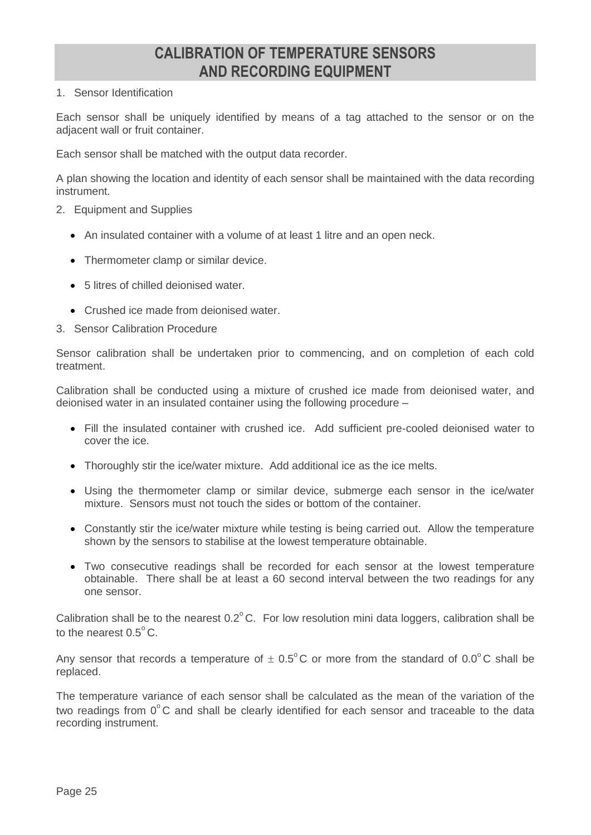## **CALIBRATION OF TEMPERATURE SENSORS AND RECORDING EQUIPMENT**

#### 1. Sensor Identification

Each sensor shall be uniquely identified by means of a tag attached to the sensor or on the adjacent wall or fruit container.

Each sensor shall be matched with the output data recorder.

A plan showing the location and identity of each sensor shall be maintained with the data recording instrument.

- 2. Equipment and Supplies
	- An insulated container with a volume of at least 1 litre and an open neck.
	- Thermometer clamp or similar device.
	- 5 litres of chilled deionised water.
	- Crushed ice made from deionised water.
- 3. Sensor Calibration Procedure

Sensor calibration shall be undertaken prior to commencing, and on completion of each cold treatment.

Calibration shall be conducted using a mixture of crushed ice made from deionised water, and deionised water in an insulated container using the following procedure –

- Fill the insulated container with crushed ice. Add sufficient pre-cooled deionised water to cover the ice.
- Thoroughly stir the ice/water mixture. Add additional ice as the ice melts.
- Using the thermometer clamp or similar device, submerge each sensor in the ice/water mixture. Sensors must not touch the sides or bottom of the container.
- Constantly stir the ice/water mixture while testing is being carried out. Allow the temperature shown by the sensors to stabilise at the lowest temperature obtainable.
- Two consecutive readings shall be recorded for each sensor at the lowest temperature obtainable. There shall be at least a 60 second interval between the two readings for any one sensor.

Calibration shall be to the nearest  $0.2^{\circ}$ C. For low resolution mini data loggers, calibration shall be to the nearest  $0.5^{\circ}$  C.

Any sensor that records a temperature of  $\pm 0.5^{\circ}$ C or more from the standard of 0.0°C shall be replaced.

The temperature variance of each sensor shall be calculated as the mean of the variation of the two readings from  $0^{\circ}$ C and shall be clearly identified for each sensor and traceable to the data recording instrument.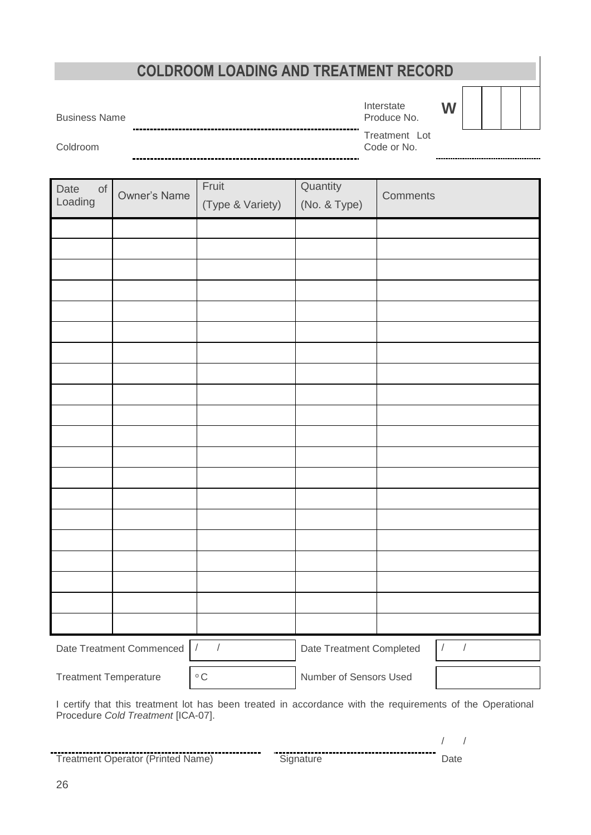## **COLDROOM LOADING AND TREATMENT RECORD**

Business Name

Interstate Produce No.

| W |  |  |  |  |
|---|--|--|--|--|
|---|--|--|--|--|

Coldroom

Treatment Lot Code or No.

-------------------------------------

| Date<br>$\circ$ f<br>Loading | Owner's Name                           | Fruit<br>(Type & Variety) | Quantity<br>(No. & Type) | <b>Comments</b>                                                                                           |
|------------------------------|----------------------------------------|---------------------------|--------------------------|-----------------------------------------------------------------------------------------------------------|
|                              |                                        |                           |                          |                                                                                                           |
|                              |                                        |                           |                          |                                                                                                           |
|                              |                                        |                           |                          |                                                                                                           |
|                              |                                        |                           |                          |                                                                                                           |
|                              |                                        |                           |                          |                                                                                                           |
|                              |                                        |                           |                          |                                                                                                           |
|                              |                                        |                           |                          |                                                                                                           |
|                              |                                        |                           |                          |                                                                                                           |
|                              |                                        |                           |                          |                                                                                                           |
|                              |                                        |                           |                          |                                                                                                           |
|                              |                                        |                           |                          |                                                                                                           |
|                              |                                        |                           |                          |                                                                                                           |
|                              |                                        |                           |                          |                                                                                                           |
|                              |                                        |                           |                          |                                                                                                           |
|                              |                                        |                           |                          |                                                                                                           |
|                              |                                        |                           |                          |                                                                                                           |
|                              |                                        |                           |                          |                                                                                                           |
|                              |                                        |                           |                          |                                                                                                           |
|                              |                                        |                           |                          |                                                                                                           |
|                              |                                        |                           |                          |                                                                                                           |
|                              | Date Treatment Commenced<br>$\sqrt{ }$ |                           | Date Treatment Completed | $\sqrt{2}$                                                                                                |
| <b>Treatment Temperature</b> |                                        | $^{\circ}$ C              | Number of Sensors Used   |                                                                                                           |
|                              |                                        |                           |                          | I certify that this treatment lot has been treated in accordance with the requirements of the Operational |

s been treated in accordance with the requirements of the Operational I certify that this treatment lot has<br>Procedure *Cold Treatment* [ICA-07].

Treatment Operator (Printed Name) Signature Date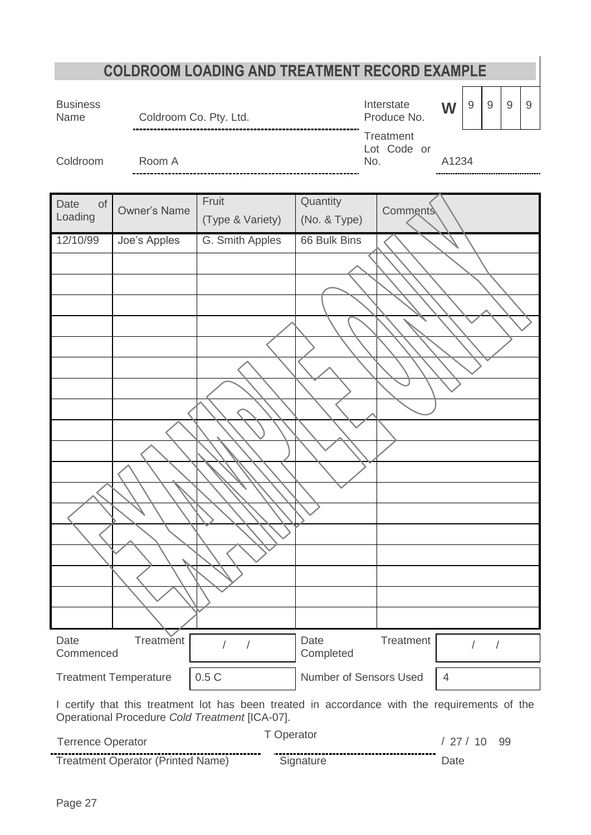<span id="page-26-0"></span>

|                          |                                          | <b>COLDROOM LOADING AND TREATMENT RECORD EXAMPLE</b>                                                                                            |                        |                                 |                |                    |     |   |
|--------------------------|------------------------------------------|-------------------------------------------------------------------------------------------------------------------------------------------------|------------------------|---------------------------------|----------------|--------------------|-----|---|
| <b>Business</b><br>Name  | Coldroom Co. Pty. Ltd.                   |                                                                                                                                                 |                        | Interstate<br>Produce No.       | W              | $\mathsf 9$<br>$9$ | $9$ | 9 |
| Coldroom                 | Room A                                   |                                                                                                                                                 | No.                    | <b>Treatment</b><br>Lot Code or | A1234          |                    |     |   |
| <b>of</b><br>Date        |                                          | Fruit                                                                                                                                           | Quantity               |                                 |                |                    |     |   |
| Loading                  | <b>Owner's Name</b>                      | (Type & Variety)                                                                                                                                | (No. & Type)           | <b>Comments</b>                 |                |                    |     |   |
| 12/10/99                 | Joe's Apples                             | G. Smith Apples                                                                                                                                 | 66 Bulk Bins           |                                 |                |                    |     |   |
|                          |                                          |                                                                                                                                                 |                        |                                 |                |                    |     |   |
|                          |                                          |                                                                                                                                                 |                        |                                 |                |                    |     |   |
|                          |                                          |                                                                                                                                                 |                        |                                 |                |                    |     |   |
|                          |                                          |                                                                                                                                                 |                        |                                 |                |                    |     |   |
|                          |                                          |                                                                                                                                                 |                        |                                 |                |                    |     |   |
|                          |                                          |                                                                                                                                                 |                        |                                 |                |                    |     |   |
|                          |                                          |                                                                                                                                                 |                        |                                 |                |                    |     |   |
|                          |                                          |                                                                                                                                                 |                        |                                 |                |                    |     |   |
|                          |                                          |                                                                                                                                                 |                        |                                 |                |                    |     |   |
|                          |                                          |                                                                                                                                                 |                        |                                 |                |                    |     |   |
|                          |                                          |                                                                                                                                                 |                        |                                 |                |                    |     |   |
|                          |                                          |                                                                                                                                                 |                        |                                 |                |                    |     |   |
|                          |                                          |                                                                                                                                                 |                        |                                 |                |                    |     |   |
|                          |                                          |                                                                                                                                                 |                        |                                 |                |                    |     |   |
|                          |                                          |                                                                                                                                                 |                        |                                 |                |                    |     |   |
|                          |                                          |                                                                                                                                                 |                        |                                 |                |                    |     |   |
| Date                     | Treatment                                | $\sqrt{2}$                                                                                                                                      | Date                   | Treatment                       |                |                    |     |   |
| Commenced                |                                          |                                                                                                                                                 | Completed              |                                 |                |                    |     |   |
|                          | <b>Treatment Temperature</b>             | 0.5C                                                                                                                                            | Number of Sensors Used |                                 | $\overline{4}$ |                    |     |   |
|                          |                                          | I certify that this treatment lot has been treated in accordance with the requirements of the<br>Operational Procedure Cold Treatment [ICA-07]. |                        |                                 |                |                    |     |   |
| <b>Terrence Operator</b> |                                          | T Operator                                                                                                                                      |                        |                                 | /27/10         |                    | 99  |   |
|                          | <b>Treatment Operator (Printed Name)</b> |                                                                                                                                                 | Signature              |                                 | Date           |                    |     |   |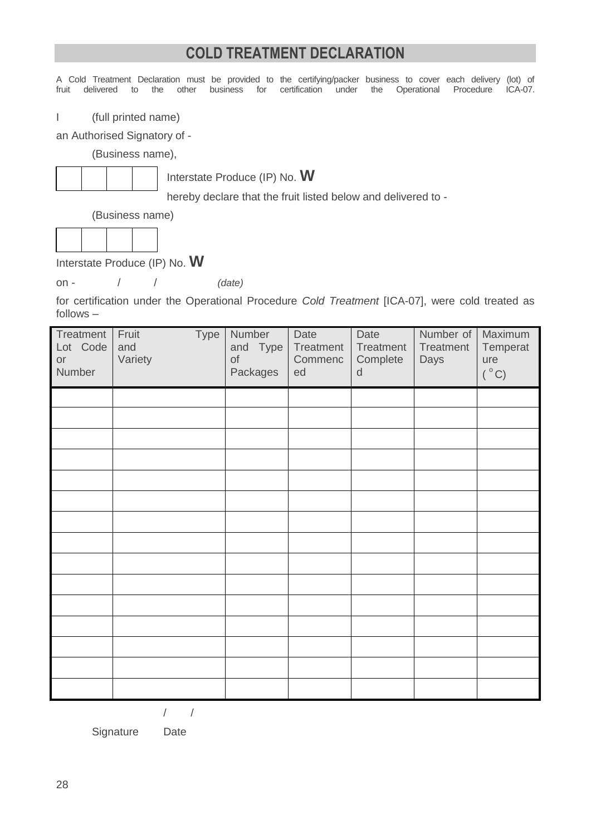## **COLD TREATMENT DECLARATION**

A Cold Treatment Declaration must be provided to the certifying/packer business to cover each delivery (lot) of fruit delivered to the other business for certification under the Operational Procedure ICA-07. under the Operational Procedure I (full printed name) an Authorised Signatory of - (Business name), Interstate Produce (IP) No. **W** hereby declare that the fruit listed below and delivered to - (Business name) Interstate Produce (IP) No. **W** on - / / *(date)* for certification under the Operational Procedure *Cold Treatment* [ICA-07], were cold treated as follows – **Treatment** Lot Code or Number Fruit Type and Variety **Number** and Type of Packages **Date Treatment** Commenc ed Date **Treatment Complete** d Number of **Treatment** Days Maximum **Temperat** ure  $(^\circ C)$ 

/ /

Signature Date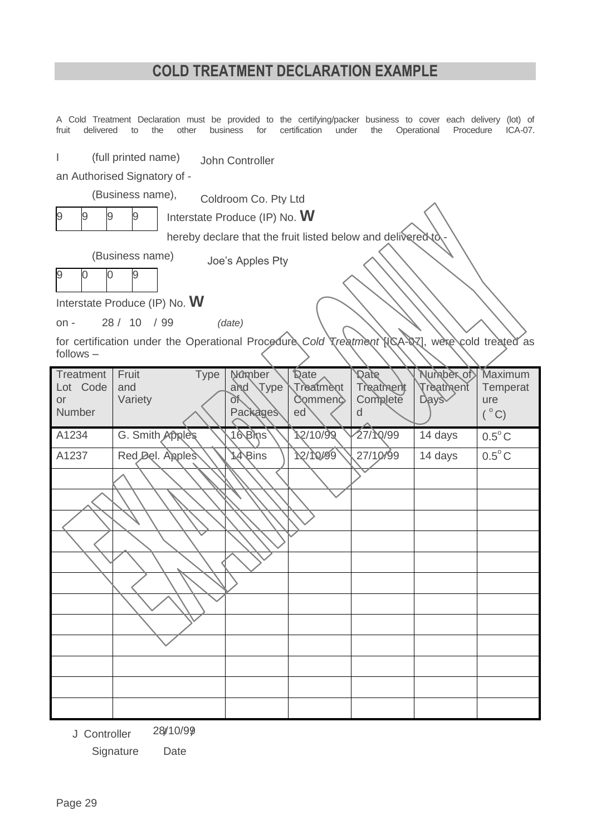## **COLD TREATMENT DECLARATION EXAMPLE**

| fruit<br>delivered                                                     | A Cold Treatment Declaration must be provided to the certifying/packer business to cover each delivery (lot) of<br>the<br>other<br>to                                                                                                                                     | business<br>for                                       | certification<br>under                    | the                                       | Operational<br>Procedure                    | $ICA-07.$                                   |  |  |
|------------------------------------------------------------------------|---------------------------------------------------------------------------------------------------------------------------------------------------------------------------------------------------------------------------------------------------------------------------|-------------------------------------------------------|-------------------------------------------|-------------------------------------------|---------------------------------------------|---------------------------------------------|--|--|
| (full printed name)<br>John Controller<br>an Authorised Signatory of - |                                                                                                                                                                                                                                                                           |                                                       |                                           |                                           |                                             |                                             |  |  |
| 9<br>9<br>9                                                            | (Business name),<br>9                                                                                                                                                                                                                                                     | Coldroom Co. Pty Ltd<br>Interstate Produce (IP) No. W |                                           |                                           |                                             |                                             |  |  |
| 9<br>$\mathbf 0$<br>$on -$<br>$follows -$                              | hereby declare that the fruit listed below and delivered to<br>(Business name)<br>Joe's Apples Pty<br>0<br>9<br>Interstate Produce (IP) No. W<br>28 / 10 / 99<br>(date)<br>for certification under the Operational Procedure Cold Treatment NGA-07], were cold treated as |                                                       |                                           |                                           |                                             |                                             |  |  |
| <b>Treatment</b><br>Lot Code<br><b>or</b>                              | Fruit<br><b>Type</b><br>and<br>Variety                                                                                                                                                                                                                                    | Mûmber<br>Type<br>and<br>Юř<br>Packages               | <b>Qate</b><br>Treatment<br>Commenc<br>ed | <b>Date</b><br>Treatment<br>Complete<br>d | Number of<br>Treatment<br>Days <sub>o</sub> | Maximum<br>Temperat<br>ure<br>$(^{\circ}C)$ |  |  |
| Number                                                                 |                                                                                                                                                                                                                                                                           |                                                       |                                           |                                           |                                             |                                             |  |  |
| A1234                                                                  | G. Smith Apples                                                                                                                                                                                                                                                           | 16 Bins                                               | 12/10/99                                  | 27/10/99                                  | 14 days                                     | $0.5^{\circ}$ C                             |  |  |
| A1237                                                                  | Red Del. Apples                                                                                                                                                                                                                                                           | <b>A</b> ⁄Bins                                        | 12/10/99                                  | 27/10/99                                  | 14 days                                     | $0.5^{\circ}$ C                             |  |  |
|                                                                        |                                                                                                                                                                                                                                                                           |                                                       |                                           |                                           |                                             |                                             |  |  |
|                                                                        |                                                                                                                                                                                                                                                                           |                                                       |                                           |                                           |                                             |                                             |  |  |
|                                                                        |                                                                                                                                                                                                                                                                           |                                                       |                                           |                                           |                                             |                                             |  |  |
|                                                                        |                                                                                                                                                                                                                                                                           |                                                       |                                           |                                           |                                             |                                             |  |  |
|                                                                        |                                                                                                                                                                                                                                                                           |                                                       |                                           |                                           |                                             |                                             |  |  |
|                                                                        |                                                                                                                                                                                                                                                                           |                                                       |                                           |                                           |                                             |                                             |  |  |
|                                                                        |                                                                                                                                                                                                                                                                           |                                                       |                                           |                                           |                                             |                                             |  |  |
|                                                                        |                                                                                                                                                                                                                                                                           |                                                       |                                           |                                           |                                             |                                             |  |  |
|                                                                        |                                                                                                                                                                                                                                                                           |                                                       |                                           |                                           |                                             |                                             |  |  |
|                                                                        |                                                                                                                                                                                                                                                                           |                                                       |                                           |                                           |                                             |                                             |  |  |
|                                                                        |                                                                                                                                                                                                                                                                           |                                                       |                                           |                                           |                                             |                                             |  |  |

Signature Date J Controller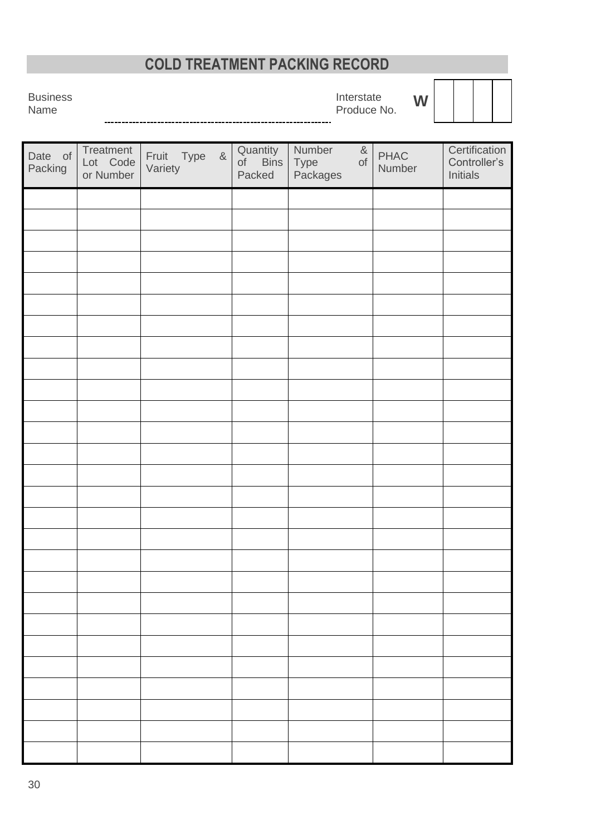# **COLD TREATMENT PACKING RECORD**

**Business** Name

Interstate Produce No. **W**

Date of Packing **Treatment** Lot Code or Number Fruit Type & **Variety Quantity** of Bins Type of Packed Number &<br>Type of **Packages** PHAC Number **Certification** Controller's Initials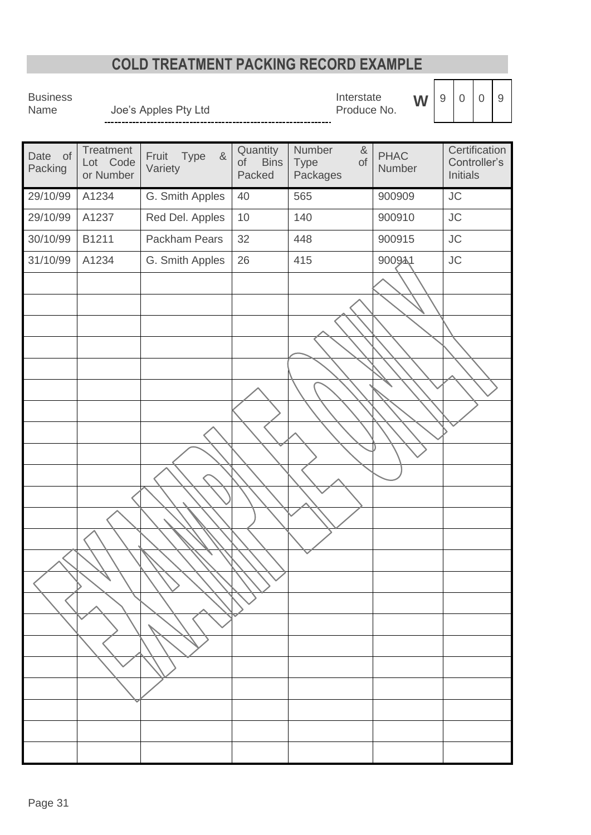## **COLD TREATMENT PACKING RECORD EXAMPLE**

Business<br>Name

Joe's Apples Pty Ltd<br>--------------------------------

Interstate Interstate **W**<br>Produce No.

|--|

Date of Packing **Treatment** Lot Code or Number Fruit Type & Variety **Quantity** of Bins Packed Number & Type of Packages PHAC Number **Certification** Controller's Initials 29/10/99 A1234 G. Smith Apples 40 565 900909 JC 29/10/99 | A1237 | Red Del. Apples | 10 | 140 | 900910 | JC 30/10/99 B1211 Packham Pears 32 448 900915 JC 31/10/99 A1234 G. Smith Apples 26 415 900941 JC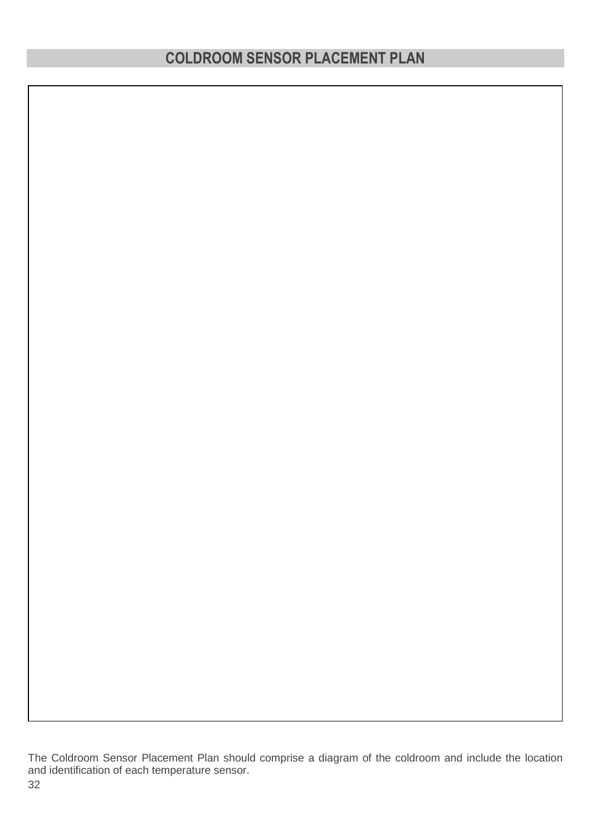The Coldroom Sensor Placement Plan should comprise a diagram of the coldroom and include the location and identification of each temperature sensor.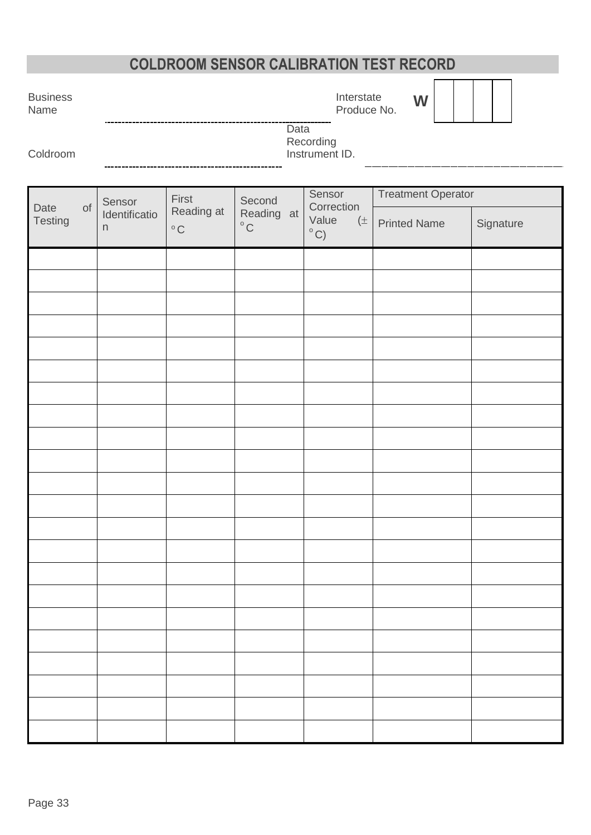# **COLDROOM SENSOR CALIBRATION TEST RECORD**

**Business** Name

Interstate Produce No. **W**

Data Recording

Coldroom

-------------

Instrument ID.

|                 |           | Sensor             | First                      | Second                            | Sensor                                         | <b>Treatment Operator</b> |           |  |  |
|-----------------|-----------|--------------------|----------------------------|-----------------------------------|------------------------------------------------|---------------------------|-----------|--|--|
| Date<br>Testing | $\circ f$ | Identificatio<br>n | Reading at<br>$^{\rm o}$ C | Reading at<br>$^{\circ} \text{C}$ | Correction<br>Value<br>$(\pm$<br>$^{\circ}$ C) | <b>Printed Name</b>       | Signature |  |  |
|                 |           |                    |                            |                                   |                                                |                           |           |  |  |
|                 |           |                    |                            |                                   |                                                |                           |           |  |  |
|                 |           |                    |                            |                                   |                                                |                           |           |  |  |
|                 |           |                    |                            |                                   |                                                |                           |           |  |  |
|                 |           |                    |                            |                                   |                                                |                           |           |  |  |
|                 |           |                    |                            |                                   |                                                |                           |           |  |  |
|                 |           |                    |                            |                                   |                                                |                           |           |  |  |
|                 |           |                    |                            |                                   |                                                |                           |           |  |  |
|                 |           |                    |                            |                                   |                                                |                           |           |  |  |
|                 |           |                    |                            |                                   |                                                |                           |           |  |  |
|                 |           |                    |                            |                                   |                                                |                           |           |  |  |
|                 |           |                    |                            |                                   |                                                |                           |           |  |  |
|                 |           |                    |                            |                                   |                                                |                           |           |  |  |
|                 |           |                    |                            |                                   |                                                |                           |           |  |  |
|                 |           |                    |                            |                                   |                                                |                           |           |  |  |
|                 |           |                    |                            |                                   |                                                |                           |           |  |  |
|                 |           |                    |                            |                                   |                                                |                           |           |  |  |
|                 |           |                    |                            |                                   |                                                |                           |           |  |  |
|                 |           |                    |                            |                                   |                                                |                           |           |  |  |
|                 |           |                    |                            |                                   |                                                |                           |           |  |  |
|                 |           |                    |                            |                                   |                                                |                           |           |  |  |
|                 |           |                    |                            |                                   |                                                |                           |           |  |  |